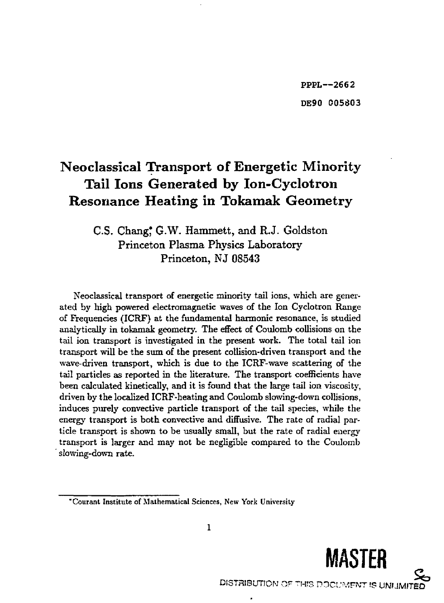## Neoclassical Transport of Energetic Minority Tail Ions Generated by Ion-Cyclotron Resonance Heating in Tokamak Geometry

### C.S. Chang, G.W. Hammett, and R.J. Goldston Princeton Plasma Physics Laboratory-Princeton, NJ 08543

Neoclassical transport of energetic minority tail ions, which are generated by high powered electromagnetic waves of the Ion Cyclotron Range of Frequencies (ICRF) at the fundamental harmonic resonance, is studied analytically in tokamak geometry. The effect of Coulomb collisions on the tail ion transport is investigated in the present work. The total tail ion transport will be the sum of the present collision-driven transport and the wave-driven transport, which is due to the ICRF-wave scattering of the tail particles as reported in the literature. The transport coefficients have been calculated kinetically, and it is found that the large tail ion viscosity, driven by the localized ICRF-heating and Coulomb slowing-down collisions, induces purely convectjve particle transport of the tail species, while the energy transport is both convective and diffusive. The rate of radial particle transport is shown to be usually small, but the rate of radial energy transport is larger and may not be negligible compared to the Coulomb slowing-down rate.

<sup>&</sup>quot;Courant Institute of Mathematical Sciences, New York University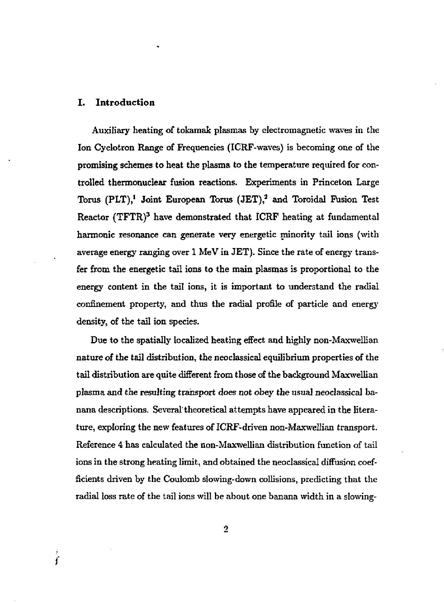#### I. Introduction

*i* 

Auxiliary heating of tokamak plasmas by electromagnetic waves in the Ion Cyclotron Range of Frequencies (ICRF-waves) is becoming one of the promising schemes to heat the plasma to the temperature required for controlled thermonuclear fusion reactions. Experiments in Princeton Large Torus  $(PLT),<sup>1</sup>$  Joint European Torus  $(JET),<sup>2</sup>$  and Toroidal Fusion Test Reactor  $(TFTR)^3$  have demonstrated that ICRF heating at fundamental harmonic resonance can generate very energetic minority tail ions (with average energy ranging over 1 MeV in JET). Since the rate of energy transfer from the energetic tail ions to the main plasmas is proportional to the energy content in the tail ions, it is important to understand the radial confinement property, and thus the radial profile of particle and energy density, of the tail ion species.

Due to the spatially localized heating effect and highly non-Maxwellian nature of the tail distribution, the neoclassical equilibrium properties of the tail distribution are quite different from those of the background Maxwellian plasma and the resulting transport does not obey the usual neoclassical banana descriptions. Several'theoretical attempts have appeared in the literature, exploring the new features of ICRF-driven non-Maxwellian transport. Reference 4 has calculated the non-Maxwellian distribution function of tail ions in the strong heating limit, and obtained the neoclassical diffusion coefficients driven by the Coulomb slowing-down collisions, predicting that the radial loss rate of the tail ions will be about one banana width in a slowing-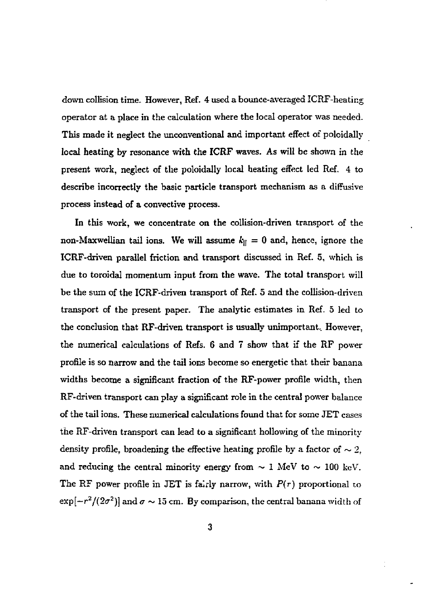down collision time. However, Ref. 4 used a bounce-averaged ICRF-heating operator at a place in the calculation where the local operator was needed. This made it neglect the unconventional and important effect of poloidally local heating by resonance with the ICRF waves. As will be shown in the present work, neglect of the poloidally local heating effect led Ref. 4 to describe incorrectly the basic particle transport mechanism as a diffusive process instead of a convective process.

In this work, we concentrate on the collision-driven transport of the non-Maxwellian tail ions. We will assume  $k_{\parallel} = 0$  and, hence, ignore the ICRF-driven parallel friction and transport discussed in Ref. 5, which is due to toroidal momentum input from the wave. The total transport will be the sum of the ICRF-driven transport of Ref. 5 and the collision-driven transport of the present paper. The analytic estimates in Ref. 5 led to the conclusion that RF-driven transport is usually unimportant. However, the numerical calculations of Refs. 6 and 7 show that if the RF power profile is so narrow and the tail ions become so energetic that their banana widths become a significant fraction of the RF-power profile width, then RF-driven transport can play a significant role in the central power balance of the tail ions. These numerical calculations found that for some JET cases the RF-driven transport can lead to a significant hollowing of the minority density profile, broadening the effective heating profile by a factor of  $\sim 2$ , and reducing the central minority energy from  $\sim 1$  MeV to  $\sim 100$  keV. The RF power profile in JET is fairly narrow, with *P{r)* proportional to  $\exp[-r^2/(2\sigma^2)]$  and  $\sigma \sim 15$  cm. By comparison, the central banana width of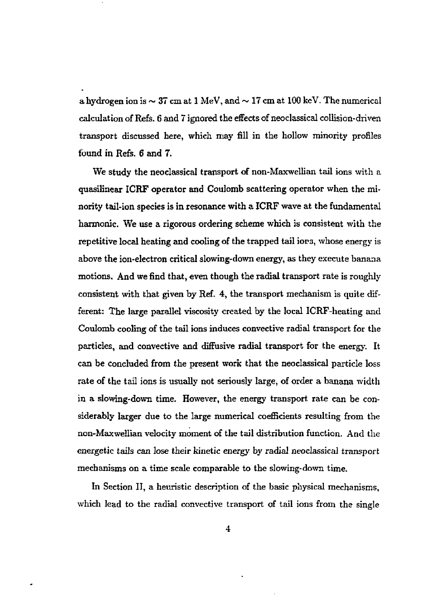a hydrogen ion is  $\sim 37$  cm at 1 MeV, and  $\sim 17$  cm at 100 keV. The numerical calculation of Refs. 6 and 7 ignored the effects of neoclassical collision-driven transport discussed here, which may fill in the hollow minority profiles found in Refs. 6 and 7.

We study the neoclassical transport of non-Maxwellian tail ions with a quasilinear ICRF operator and Coulomb scattering operator when the minority tail-ion species is in resonance with a ICRF wave at the fundamental harmonic. We use a rigorous ordering scheme which is consistent with the repetitive local heating and cooling of the trapped tail iors, whose energy is above the ion-electron critical slowing-down energy, as they execute banana motions. And we find that, even though the radial transport rate is roughly consistent with that given by Ref. 4, the transport mechanism is quite different: The large parallel viscosity created by the local ICRF-heating and Coulomb cooling of the tail ions induces convective radial transport for the particles, and convective and diffusive radial transport for the energy. It can be concluded from the present work that the neoclassical particle loss rate of the tail ions is usually not seriously large, of order a banana width in a slowing-down time. However, the energy transport rate can be considerably larger due to the large numerical coefficients resulting from the non-Maxwellian velocity moment of the tail distribution function. And the energetic tails can lose their kinetic energy by radial neoclassical transport mechanisms on a time scale comparable to the slowing-down time.

In Section II, a heuristic description of the basic physical mechanisms, which lead to the radial convective transport of tail ions from the single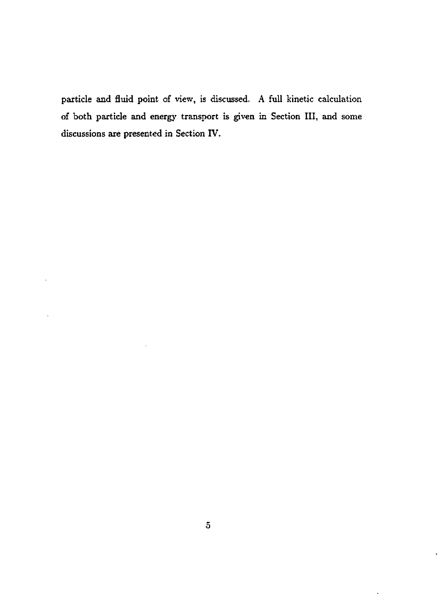particle and fluid point of view, is discussed. A full kinetic calculation of both particle and energy transport is given in Section III, and some discussions are presented in Section IV.

 $\blacksquare$ 

l,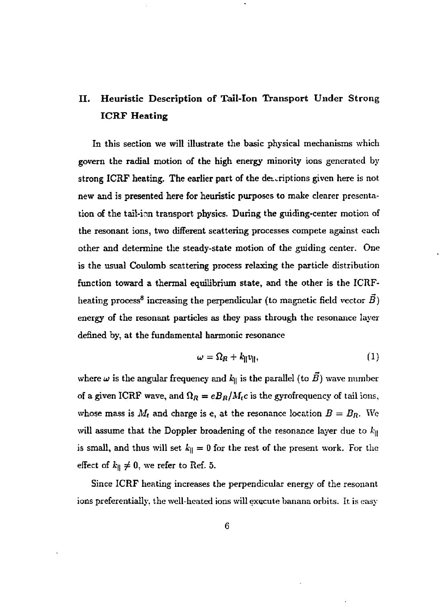## II. Heuristic Description of Tail-Ion Transport Under Strong **ICRF Heating**

In this section we will illustrate the basic physical mechanisms which govern the radial motion of the high energy minority ions generated by strong ICRF heating. The earlier part of the descriptions given here is not new and is presented here for heuristic purposes to make clearer presentation of the tail-inn transport physics. During the guiding-center motion of the resonant ions, two different scattering processes compete against each other and determine the steady-state motion of the guiding center. One is the usual Coulomb scattering process relaxing the particle distribution function toward a thermal equilibrium state, and the other is the ICRFheating process<sup>8</sup> increasing the perpendicular (to magnetic field vector  $\vec{B}$ ) energy of the resonant particles as they pass through the resonance layer defined by, at the fundamental harmonic resonance

$$
\omega = \Omega_R + k_{\parallel} v_{\parallel},\tag{1}
$$

where  $\omega$  is the angular frequency and  $k_{\parallel}$  is the parallel (to  $\vec{B}$ ) wave number of a given ICRF wave, and  $\Omega_R = e B_R / M_i c$  is the gyrofrequency of tail ions, whose mass is  $M_t$  and charge is e, at the resonance location  $B = B_R$ . We will assume that the Doppler broadening of the resonance layer due to  $k_{\parallel}$ is small, and thus will set  $k_{\parallel} = 0$  for the rest of the present work. For the effect of  $k_{\parallel} \neq 0$ , we refer to Ref. 5.

Since ICRF heating increases the perpendicular energy of the resonant ions preferentially, the well-heated ions will execute banana orbits. It is easy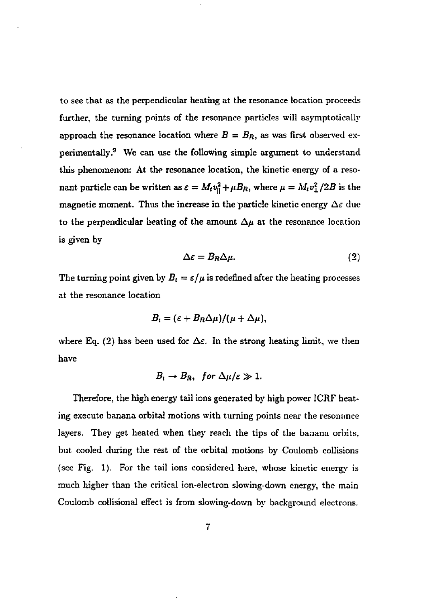to see that as the perpendicular heating at the resonance location proceeds further, the turning points of the resonance particles will asymptotically approach the resonance location where  $B = B_R$ , as was first observed experimentally.<sup>9</sup> We can use the following simple argument to understand this phenomenon: At the resonance location, the kinetic energy of a resonant particle can be written as  $\varepsilon = M_t v_{\parallel}^2 + \mu B_R$ , where  $\mu = M_t v_{\perp}^2 / 2B$  is the magnetic moment. Thus the increase in the particle kinetic energy  $\Delta \varepsilon$  due to the perpendicular heating of the amount  $\Delta \mu$  at the resonance location is given by

$$
\Delta \varepsilon = B_R \Delta \mu. \tag{2}
$$

The turning point given by  $B_t = \varepsilon/\mu$  is redefined after the heating processes at the resonance location

$$
B_t = (\varepsilon + B_R \Delta \mu)/(\mu + \Delta \mu),
$$

where Eq. (2) has been used for  $\Delta \varepsilon$ . In the strong heating limit, we then have

$$
B_t \to B_R, \text{ for } \Delta \mu/\varepsilon \gg 1.
$$

Therefore, the high energy tail ions generated by high power ICRF heating execute banana orbital motions with turning points near the resonnnce layers. They get heated when they reach the tips of the banana orbits. but cooled during the rest of the orbital motions by Coulomb collisions (see Fig. 1). For the tail ions considered here, whose kinetic energy is much higher than the critical ion-electron slowing-down energy, the main Coulomb collisional effect is from slowing-down by background electrons.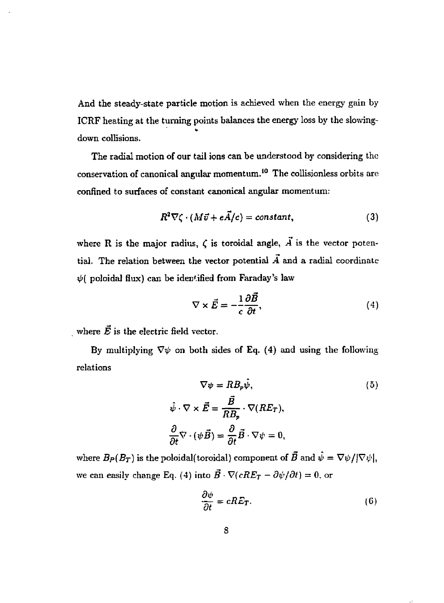And the steady-state particle motion is achieved when the energy gain by ICRF heating at the turning points balances the energy loss by the slowingdown collisions.

The radial motion of our tail ions can be understood by considering the conservation of canonical angular momentum.<sup>10</sup> The collisionless orbits are confined to surfaces of constant canonical angular momentum:

$$
R^2 \nabla \zeta \cdot (M \vec{v} + e \vec{A}/c) = constant, \qquad (3)
$$

where R is the major radius,  $\zeta$  is toroidal angle,  $\vec{A}$  is the vector potential. The relation between the vector potential  $\vec{A}$  and a radial coordinate  $\psi$ ( poloidal flux) can be identified from Faraday's law

$$
\nabla \times \vec{E} = -\frac{1}{c} \frac{\partial \vec{B}}{\partial t},\tag{4}
$$

where  $\vec{E}$  is the electric field vector.

By multiplying  $\nabla \psi$  on both sides of Eq. (4) and using the following relations

$$
\nabla \psi = R B_p \hat{\psi},
$$
\n
$$
\hat{\psi} \cdot \nabla \times \vec{E} = \frac{\vec{B}}{R B_p} \cdot \nabla (R E_T),
$$
\n
$$
\frac{\partial}{\partial t} \nabla \cdot (\psi \vec{B}) = \frac{\partial}{\partial t} \vec{B} \cdot \nabla \psi = 0,
$$
\n(5)

where  $B_P(B_T)$  is the poloidal(toroidal) component of  $\vec{B}$  and  $\hat{\psi} = \nabla \psi/|\nabla \psi|$ . we can easily change Eq. (4) into  $\vec{B} \cdot \nabla(cRE_T - \partial \psi/\partial t) = 0$ , or

$$
\frac{\partial \psi}{\partial t} = cRE_T. \tag{6}
$$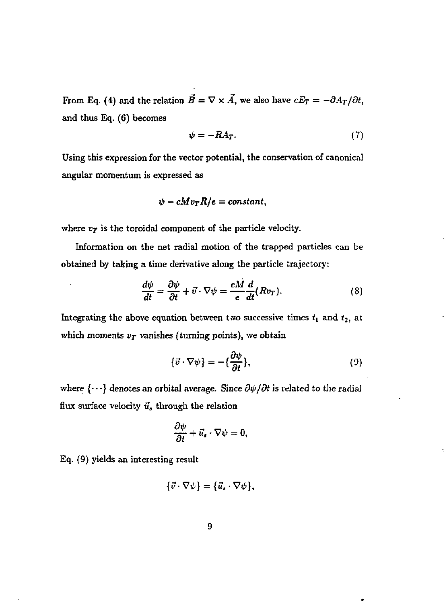From Eq. (4) and the relation  $B = \nabla \times A$ , we also have  $cE_T = -\partial A_T/\partial t$ , and thus Eq, (6) becomes

$$
\psi = -RA_T. \tag{7}
$$

Using this expression for the vector potential, the conservation of canonical angular momentum is expressed as

$$
\psi - cMv_T R/e = constant,
$$

where  $v_T$  is the toroidal component of the particle velocity.

Information on the net radial motion of the trapped particles can be obtained by taking a time derivative along the particle trajectory:

$$
\frac{d\psi}{dt} = \frac{\partial\psi}{\partial t} + \vec{v} \cdot \nabla\psi = \frac{cM}{e} \frac{d}{dt} (Rv_T). \tag{8}
$$

Integrating the above equation between two successive times *t<sup>t</sup>* and *t<sup>2</sup> ,* at which moments  $v_T$  vanishes (turning points), we obtain

$$
\{\vec{v} \cdot \nabla \psi\} = -\{\frac{\partial \psi}{\partial t}\},\tag{9}
$$

where  $\{\cdots\}$  denotes an orbital average. Since  $\partial \psi / \partial t$  is related to the radial flux surface velocity *u,* through the relation

$$
\frac{\partial \psi}{\partial t} + \vec{u}_s \cdot \nabla \psi = 0,
$$

 $Eq. (9)$  yields an interesting result

$$
\{\vec{v}\cdot\nabla\psi\}=\{\vec{u},\cdot\nabla\psi\},\
$$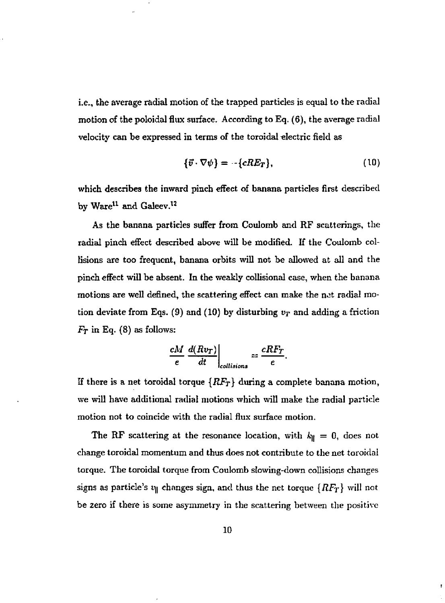i.e., the average radial motion of the trapped particles is equal to the radial motion of the poloidal flux surface. According to Eq. (6), the average radial velocity can be expressed in terms of the toroidal electric field as

$$
\{\vec{v} \cdot \nabla \psi\} = -\{cRE_T\},\tag{10}
$$

which describes the inward pinch effect of banana particles first described by Ware<sup>11</sup> and Galeev.<sup>12</sup>

As the banana particles suffer from Coulomb and RF scatterings, the radial pinch effect described above will be modified. If the Coulomb collisions are too frequent, banana orbits will not be allowed at all and the pinch effect will be absent. In the weakly collisional case, when the banana motions are well defined, the scattering effect can make the net radial motion deviate from Eqs. (9) and (10) by disturbing  $v_T$  and adding a friction  $F_T$  in Eq. (8) as follows:

$$
\left.\frac{cM}{e}\frac{d(Rv_T)}{dt}\right|_{collisions}=\frac{cRF_T}{e}.
$$

If there is a net toroidal torque *{RFT}* during a complete banana motion, we will have additional radial motions which will make the radial particle motion not to coincide with the radial flux surface motion.

The RF scattering at the resonance location, with  $k_{\parallel} = 0$ , does not change toroidal momentum and thus does not contribute to the net toroidal torque. The toroidal torque from Coulomb slowing-down collisions changes signs as particle's  $v_\parallel$  changes sign, and thus the net torque  ${RF_T}$  will not be zero if there is some asymmetry in the scattering between the positive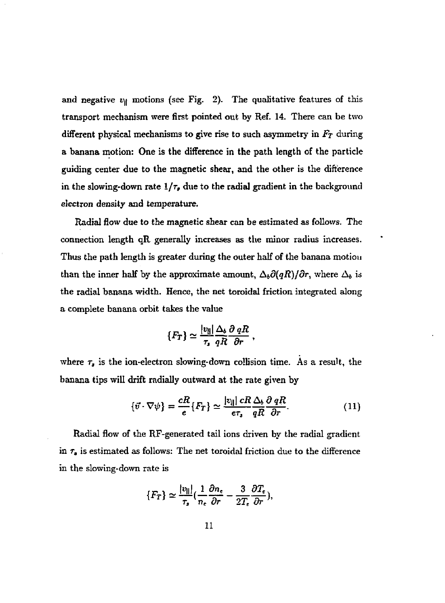and negative  $v_{\parallel}$  motions (see Fig. 2). The qualitative features of this transport mechanism were first pointed out by Ref. 14. There can be two different physical mechanisms to give rise to such asymmetry in *Fr* during a banana motion: One is the difference in the path length of the particle guiding center due to the magnetic shear, and the other is the difference in the slowing-down rate *l/r,* due to the radial gradient in the background electron density and temperature.

Radial flow due to the magnetic shear can be estimated as follows. The connection length qR generally increases as the minor radius increases. Thus the path length is greater during the outer half of the banana motion than the inner half by the approximate amount,  $\Delta_b \partial(qR)/\partial r$ , where  $\Delta_b$  is the radial banana width. Hence, the net toroidal friction integrated along a complete banana orbit takes the value

$$
\{F_T\} \simeq \frac{|v_{ij}|}{\tau_s} \frac{\Delta_b}{qR} \frac{\partial}{\partial r} R \;,
$$

where  $\tau_s$  is the ion-electron slowing-down collision time. As a result, the banana tips will drift radially outward at the rate given by

$$
\{\vec{v} \cdot \nabla \psi\} = \frac{cR}{e} \{F_T\} \simeq \frac{|v_{\parallel}|}{e\tau_s} \frac{cR}{qR} \frac{\Delta_b}{\partial r}.
$$
 (11)

Radial flow of the RF-generated tail ions driven by the radial gradient in  $\tau_s$  is estimated as follows: The net toroidal friction due to the difference in the slowing-down rate is

$$
\{F_T\} \simeq \frac{|v_{\parallel}|}{\tau_s} \left(\frac{1}{n_e} \frac{\partial n_e}{\partial r} - \frac{3}{2T_e} \frac{\partial T_e}{\partial r}\right),\,
$$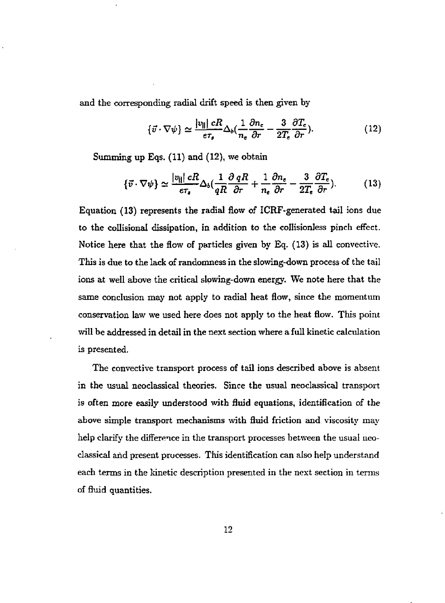and the corresponding radial drift speed is then given by

$$
\{\vec{v} \cdot \nabla \psi\} \simeq \frac{|v_{\parallel}|}{e\tau_s} \Delta_b \left(\frac{1}{n_e} \frac{\partial n_e}{\partial r} - \frac{3}{2T_e} \frac{\partial T_e}{\partial r}\right). \tag{12}
$$

Summing up Eqs. (11) and (12), we obtain

$$
\{\vec{v} \cdot \nabla \psi\} \simeq \frac{|v_{\parallel}|}{e\tau_s} \Delta_b \left(\frac{1}{qR} \frac{\partial qR}{\partial r} + \frac{1}{n_e} \frac{\partial n_e}{\partial r} - \frac{3}{2T_e} \frac{\partial T_e}{\partial r}\right).
$$
 (13)

Equation (13) represents the radial flow of ICRF-generated tail ions due to the collisional dissipation, in addition to the collisionless pinch effect. Notice here that the flow of particles given by Eq. (13) is all convective. This is due to the lack of randomness in the slowing-down process of the tail ions at well above the critical slowing-down energy. We note here that the same conclusion may not apply to radial heat flow, since the momentum conservation law we used here does not apply to the heat flow. This point will be addressed in detail in the next section where a full kinetic calculation is presented.

The convective transport process of tail ions described above is absent in the usual neoclassical theories. Since the usual neoclassical transport is often more easily understood with fluid equations, identification of the above simple transport mechanisms with fluid friction and viscosity may help clarify the difference in the transport processes between the usual neoclassical and present processes. This identification can also help understand each terms in the kinetic description presented in the next section in terms of fluid quantities.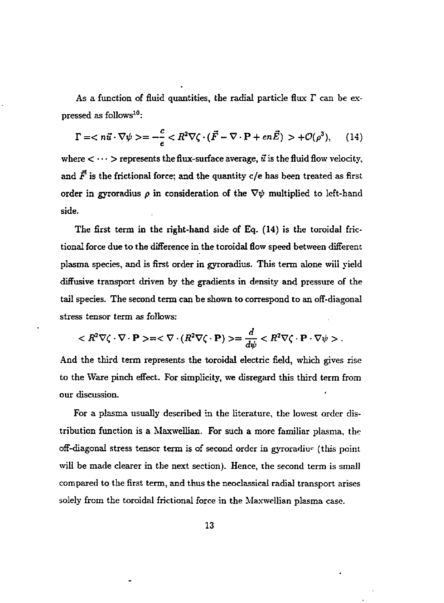As a function of fluid quantities, the radial particle flux *T* can be expressed as follows<sup>10</sup>:

$$
\Gamma =  = -\frac{c}{e} < R^2\nabla\zeta\cdot(\vec{F}-\nabla\cdot\mathbf{P}+en\vec{E})>+\mathcal{O}(\rho^3),\qquad(14)
$$

where  $\langle \cdots \rangle$  represents the flux-surface average,  $\vec{u}$  is the fluid flow velocity, and  $\vec{F}$  is the frictional force; and the quantity c/e has been treated as first order in gyroradius  $\rho$  in consideration of the  $\nabla\psi$  multiplied to left-hand side.

The first term in the right-hand side of Eq. (14) is the toroidal frictional force due to the difference in the toroidal flow speed between different plasma species, and is first order in gyroradius. This term alone will yield diffusive transport driven by the gradients in density and pressure of the tail species. The second term can be shown to correspond to an off-diagonal stress tensor term as follows:

$$
=<\nabla \cdot (R^2 \nabla \zeta \cdot \mathbf{P})>=\frac{d}{d\psi}.
$$

And the third term represents the toroidal electric field, which gives rise to the Ware pinch effect. For simplicity, we disregard this third term from our discussion.

For a plasma usually described in the literature, the lowest order distribution function is a Maxwellian. For such a more familiar plasma, the off-diagonal stress tensor term is of second order in gyroradiu^ (this point will be made clearer in the next section). Hence, the second term is small compared to the first term, and thus the neoclassical radial transport arises solely from the toroidal frictional force in the Maxwellian plasma case.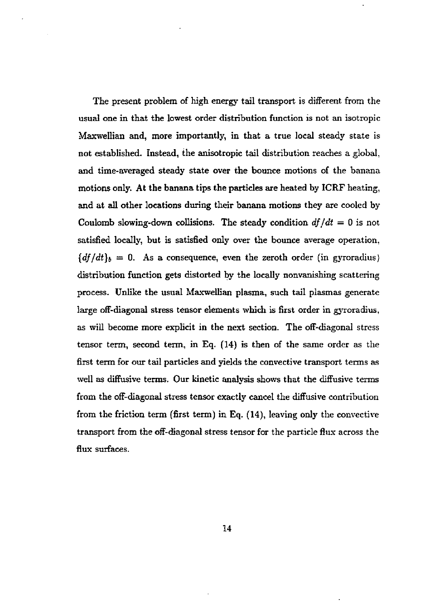The present problem of high energy tail transport is different from the usual one in that the lowest order distribution function is not an isotropic Maxwellian and, more importantly, in that a true local steady state is not established. Instead, the anisotropic tail distribution reaches a global, and time-averaged steady state over the bounce motions of the banana motions only. At the banana tips the particles are heated by ICRF heating, and at all other locations during their banana motions they are cooled by Coulomb slowing-down collisions. The steady condition  $df/dt = 0$  is not satisfied locally, but is satisfied only over the bounce average operation,  ${df/dt}_b = 0$ . As a consequence, even the zeroth order (in gyroradius) distribution function gets distorted by the locally nonvanishing scattering process. Unlike the usual Maxwellian plasma, such tail plasmas generate large off-diagonal stress tensor elements which is first order in gyroradius, as will become more explicit in the next section. The off-diagonal stress tensor term, second term, in Eq. (14) is then of the same order as the first term for our tail particles and yields the convective transport terms as well as diffusive terms. Our kinetic analysis shows that the diffusive terms from the off-diagonal stress tensor exactly cancel the diffusive contribution from the friction term (first term) in Eq. (14), leaving only the convective transport from the off-diagonal stress tensor for the particle flux across the flux surfaces.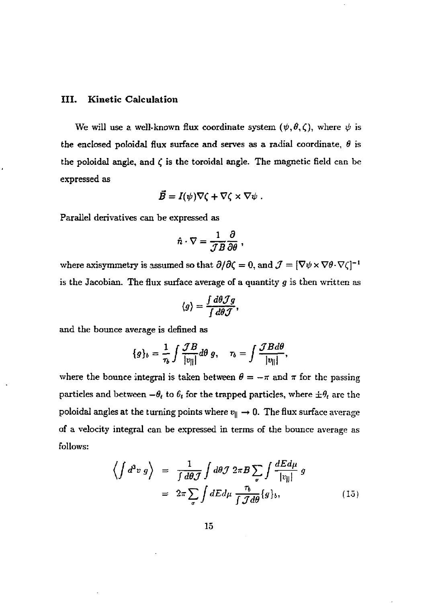#### **III. Kinetic Calculation**

We will use a well-known flux coordinate system  $(\psi, \theta, \zeta)$ , where  $\psi$  is the enclosed poloidal flux surface and serves as a radial coordinate, *6* is the poloidal angle, and  $\zeta$  is the toroidal angle. The magnetic field can be expressed as

$$
\vec{B}=I(\psi)\nabla\zeta+\nabla\zeta\times\nabla\psi.
$$

Parallel derivatives can be expressed as

$$
\hat{n} \cdot \nabla = \frac{1}{\mathcal{J}B} \frac{\partial}{\partial \theta} ,
$$

where axisymmetry is assumed so that  $\partial/\partial \zeta = 0$ , and  $\mathcal{J} = [\nabla \psi \times \nabla \theta \cdot \nabla \zeta]^{-1}$ is the Jacobian. The flux surface average of a quantity *g* is then written as

$$
\langle g \rangle = \frac{\int d\theta \mathcal{J} g}{\int d\theta \mathcal{J}},
$$

and the bounce average is defined as

$$
\{g\}_b = \frac{1}{\tau_b} \int \frac{\mathcal{J}B}{|v_{||}|} d\theta \, g, \quad \tau_b = \int \frac{\mathcal{J}B d\theta}{|v_{||}|},
$$

where the bounce integral is taken between  $\theta = -\pi$  and  $\pi$  for the passing  $\frac{1}{2}$  particles and between  $-\sigma_t$  to  $v_t$  for the trapped particles, where  $\pm \sigma_t$  are the poloidal angles at the turning points where  $v_{\parallel} \rightarrow 0$ . The flux surface average of a velocity integral can be expressed in terms of the bounce average as follows:

$$
\left\langle \int d^3 v \, g \right\rangle = \frac{1}{\int d\theta \mathcal{J}} \int d\theta \mathcal{J} \, 2\pi B \sum_{\sigma} \int \frac{dE d\mu}{|v_{||}|} \, g
$$
\n
$$
= 2\pi \sum_{\sigma} \int dE d\mu \, \frac{\tau_b}{\int \mathcal{J} d\theta} \{g\}_b, \tag{15}
$$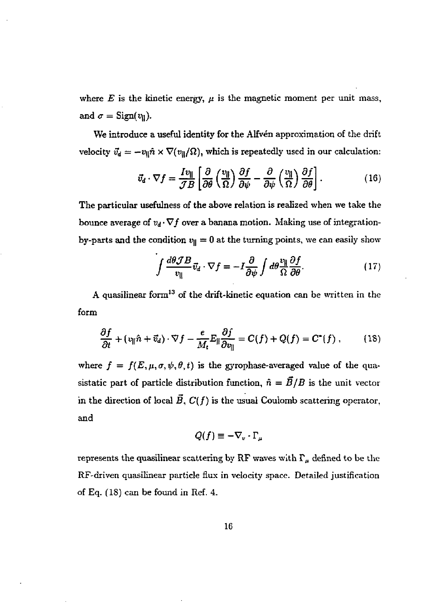where  $E$  is the kinetic energy,  $\mu$  is the magnetic moment per unit mass, and  $\sigma =$  Sign( $v_{\parallel}$ ).

We introduce a useful identity for the Alfven approximation of the drift velocity  $\vec{v}_d = -v_{\parallel} \hat{n} \times \nabla(v_{\parallel}/\Omega)$ , which is repeatedly used in our calculation:

$$
\vec{v}_d \cdot \nabla f = \frac{I v_{\parallel}}{\mathcal{J} B} \left[ \frac{\partial}{\partial \theta} \left( \frac{v_{\parallel}}{\Omega} \right) \frac{\partial f}{\partial \psi} - \frac{\partial}{\partial \psi} \left( \frac{v_{\parallel}}{\Omega} \right) \frac{\partial f}{\partial \theta} \right].
$$
 (16)

The particular usefulness of the above relation is realized when we take the bounce average of  $v_d \cdot \nabla f$  over a banana motion. Making use of integrationby-parts and the condition  $v_{\parallel} = 0$  at the turning points, we can easily show

$$
\int \frac{d\theta \mathcal{J}B}{v_{\parallel}} \vec{v}_d \cdot \nabla f = -I \frac{\partial}{\partial \psi} \int d\theta \frac{v_{\parallel}}{\Omega} \frac{\partial f}{\partial \theta}.
$$
 (17)

A quasilinear form<sup>13</sup> of the drift-kinetic equation can be written in the form

$$
\frac{\partial f}{\partial t} + (\partial_{\parallel} \hat{n} + \vec{v}_d) \cdot \nabla f - \frac{e}{M_t} E_{\parallel} \frac{\partial f}{\partial v_{\parallel}} = C(f) + Q(f) = C^*(f) , \qquad (18)
$$

where  $f = f(E, \mu, \sigma, \psi, \theta, t)$  is the gyrophase-averaged value of the quasistatic part of particle distribution function,  $\hat{n} = \vec{B}/B$  is the unit vector in the direction of local  $\vec{B}$ ,  $C(f)$  is the usual Coulomb scattering operator, and

$$
Q(f) \equiv -\nabla_v \cdot \Gamma_\mu
$$

represents the quasilinear scattering by RF waves with  $\Gamma_{\mu}$  defined to be the RF'driven quasilinear particle flux in velocity space. Detailed justification of Eq. (18) can be found in Ref. 4.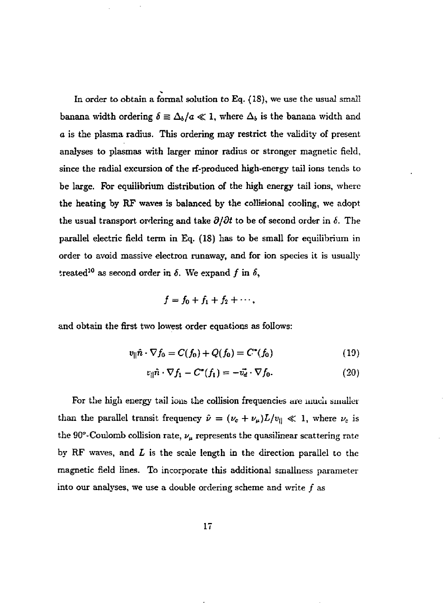In order to obtain a formal solution to Eq. (IS), we use the usual small banana width ordering  $\delta \equiv \Delta_b/a \ll 1$ , where  $\Delta_b$  is the banana width and *a* is the plasma radius. This ordering may restrict the validity of present analyses to plasmas with larger minor radius or stronger magnetic field, since the radial excursion of the rf-produced high-energy tail ions tends to be large. For equilibrium distribution of the high energy tail ions, where the heating by RF waves is balanced by the collistonal cooling, we adopt the usual transport ordering and take  $\partial/\partial t$  to be of second order in  $\delta$ . The parallel electric field term in Eq. (18) has to be small for equilibrium in order to avoid massive electron runaway, and for ion species it is usually treated<sup>10</sup> as second order in  $\delta$ . We expand  $f$  in  $\delta$ ,

$$
f=f_0+f_1+f_2+\cdots,
$$

and obtain the first two lowest order equations as follows:

$$
v_{\parallel}\hat{n} \cdot \nabla f_0 = C(f_0) + Q(f_0) = C^*(f_0)
$$
 (19)

$$
v_{\parallel}\hat{n}\cdot\nabla f_1 - C^*(f_1) = -\vec{v_d}\cdot\nabla f_0.
$$
 (20)

For the high energy tail ions the collision frequencies are much smaller than the parallel transit frequency  $\hat{\nu} = (\nu_c + \nu_\mu)L/\nu_\parallel \ll 1$ , where  $\nu_c$  is the 90°-Coulomb collision rate,  $\nu_\mu$  represents the quasilinear scattering rate by RF waves, and *L* is the scale length in the direction parallel to the magnetic field lines. To incorporate this additional smallness parameter into our analyses, we use a double ordering scheme and write  $f$  as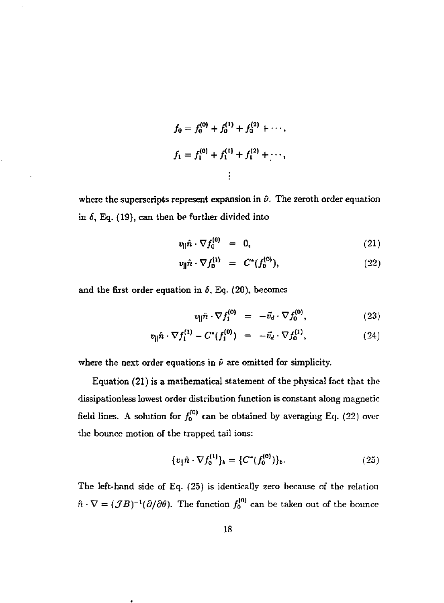$$
f_0 = f_0^{(0)} + f_0^{(1)} + f_0^{(2)} + \cdots,
$$
  
\n
$$
f_1 = f_1^{(0)} + f_1^{(1)} + f_1^{(2)} + \cdots,
$$
  
\n
$$
\vdots
$$

where the superscripts represent expansion in  $\hat{\nu}$ . The zeroth order equation in  $\delta$ , Eq. (19), can then be further divided into

$$
v_{\parallel}\hat{n}\cdot\nabla f_0^{(0)} = 0, \qquad (21)
$$

$$
v_{\parallel}\hat{n}\cdot\nabla f_0^{(\lambda)} = C^*(f_0^{(\lambda)}), \qquad (22)
$$

and the first order equation in  $\delta$ , Eq. (20), becomes

$$
v_{\parallel}\hat{n}\cdot\nabla f_{\mathbf{i}}^{(0)} = -\tilde{v}_d\cdot\nabla f_0^{(0)}, \qquad (23)
$$

$$
v_{\parallel} \hat{n} \cdot \nabla f_1^{(1)} - C^*(f_1^{(0)}) = -\vec{v}_d \cdot \nabla f_0^{(1)}, \qquad (24)
$$

where the next order equations in  $\hat{\nu}$  are omitted for simplicity.

Equation (21) is a mathematical statement of the physical fact that the dissipationless lowest order distribution function is constant along magnetic field lines. A solution for  $f_0^{(0)}$  can be obtained by averaging Eq. (22) over the bounce motion of the trapped tail ions:

$$
\{v_{\parallel}\hat{n}\cdot\nabla f_0^{(1)}\}_b = \{C^*(f_0^{(0)})\}_b. \tag{25}
$$

The left-hand side of Eq. (25) is identically zero because of the relation  $\hat{n} \cdot \nabla = (\mathcal{J}B)^{-1}(\partial/\partial\theta)$ . The function  $f_0^{(0)}$  can be taken out of the bounce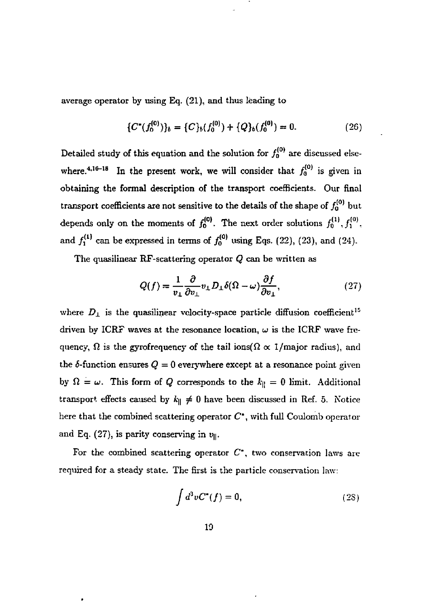average operator by using Eq. (21), and thus leading to

$$
\{C^*(f_0^{(0)})\}_b = \{C\}_b(f_0^{(0)}) + \{Q\}_b(f_0^{(0)}) = 0. \tag{26}
$$

Detailed study of this equation and the solution for  $f_0^{(0)}$  are discussed elsewhere.<sup>4,16-18</sup> In the present work, we will consider that  $f_0^{(0)}$  is given in obtaining the formal description of the transport coefficients. Our final transport coefficients are not sensitive to the details of the shape of  $f_0^{(0)}$  but depends only on the moments of  $f_0^{(0)}$ . The next order solutions  $f_0^{(1)}, f_1^{(0)}$ . and  $f_1^{(1)}$  can be expressed in terms of  $f_0^{(0)}$  using Eqs. (22), (23), and (24).

The quasilinear RF-scattering operator *Q* can be written as

$$
Q(f) = \frac{1}{v_{\perp}} \frac{\partial}{\partial v_{\perp}} v_{\perp} D_{\perp} \delta(\Omega - \omega) \frac{\partial f}{\partial v_{\perp}},
$$
\n(27)

where  $D_{\perp}$  is the quasilinear velocity-space particle diffusion coefficient<sup>15</sup> driven by ICRF waves at the resonance location,  $\omega$  is the ICRF wave frequency,  $\Omega$  is the gyrofrequency of the tail ions( $\Omega \propto 1$ /major radius), and the  $\delta$ -function ensures  $Q = 0$  everywhere except at a resonance point given by  $\Omega = \omega$ . This form of *Q* corresponds to the  $k_{\parallel} = 0$  limit. Additional transport effects caused by  $k_{\parallel} \neq 0$  have been discussed in Ref. 5. Notice here that the combined scattering operator  $C^*$ , with full Coulomb operator and Eq. (27), is parity conserving in  $v_{\parallel}$ .

For the combined scattering operator  $C^*$ , two conservation laws are required for a steady state. The first is the particle conservation law:

$$
\int d^3v C^*(f) = 0,\t(28)
$$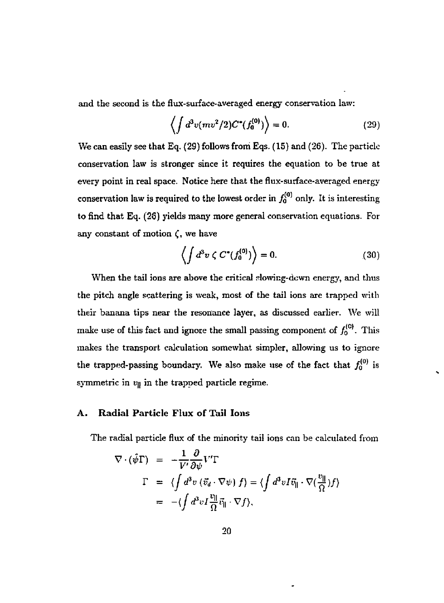and the second is the flux-surface-averaged energy conservation law:

$$
\left\langle \int d^3v (mv^2/2) C^*(f_0^{(0)}) \right\rangle = 0. \tag{29}
$$

We can easily see that Eq. (29) follows from Eqs. (15) and (26). The particle conservation law is stronger since it requires the equation to be true at every point in real space. Notice here that the flux-surface-averaged energy conservation law is required to the lowest order in  $f_0^{(0)}$  only. It is interesting to find that Eq. (2S) yields many more general conservation equations. For any constant of motion  $\zeta$ , we have

$$
\left\langle \int d^3v \zeta C^*(f_0^{(0)}) \right\rangle = 0. \tag{30}
$$

When the tail ions are above the critical slowing-down energy, and thus the pitch angle scattering is weak, most of the tail ions are trapped with their banana tips near the resonance layer, as discussed earlier. We will make use of this fact and ignore the small passing component of  $f_0^{(0)}$ . This makes the transport calculation somewhat simpler, allowing us to ignore the trapped-passing boundary. We also make use of the fact that  $f_0^{(0)}$  is symmetric in *v\\* in the trapped particle regime.

#### **A. Radial Particle Flux of Tail Ions**

The radial particle flux of the minority tail ions can be calculated from

$$
\nabla \cdot (\hat{\psi} \Gamma) = -\frac{1}{V'} \frac{\partial}{\partial \psi} V' \Gamma
$$
  
\n
$$
\Gamma = \langle \int d^3 v \left( \vec{v}_d \cdot \nabla \psi \right) f \rangle = \langle \int d^3 v I \vec{v}_{\parallel} \cdot \nabla (\frac{v_{\parallel}}{\Omega}) f \rangle
$$
  
\n
$$
= -\langle \int d^3 v I \frac{v_{\parallel}}{\Omega} \vec{v}_{\parallel} \cdot \nabla f \rangle,
$$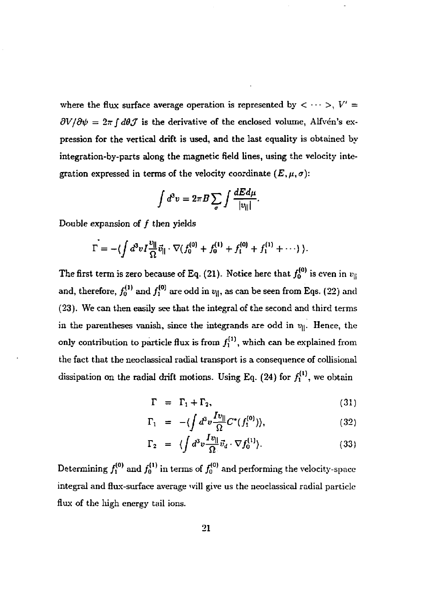where the flux surface average operation is represented by  $\langle \cdots \rangle, V' =$  $\partial V/\partial \psi = 2\pi \int d\theta \mathcal{J}$  is the derivative of the enclosed volume, Alfvén's expression for the vertical drift is used, and the last equality is obtained by integration-by-parts along the magnetic field lines, using the velocity integration expressed in terms of the velocity coordinate  $(E, \mu, \sigma)$ :

$$
\int d^3v = 2\pi B \sum_{\sigma} \int \frac{dEd\mu}{|v_{\parallel}|}.
$$

Double expansion of  $f$  then yields

$$
\Gamma = -\langle \int d^3v I \frac{v_{\parallel}}{\Omega} \vec{v}_{\parallel} \cdot \nabla (f_0^{(0)} + f_0^{(1)} + f_1^{(0)} + f_1^{(1)} + \cdots) \rangle.
$$

The first term is zero because of Eq. (21). Notice here that  $f_0^{(0)}$  is even in  $v_\parallel$ and, therefore,  $f_0^{(1)}$  and  $f_1^{(0)}$  are odd in  $v_{||}$ , as can be seen from Eqs. (22) and (23). We can then easily see that the integral of the second and third terms in the parentheses vanish, since the integrands are odd in  $v_{\parallel}$ . Hence, the only contribution to particle flux is from  $f_1^{(1)}$ , which can be explained from the fact that the neoclassical radial transport is a consequence of collisional dissipation on the radial drift motions. Using Eq.  $(24)$  for  $f_1^{(1)}$ , we obtain

$$
\Gamma = \Gamma_1 + \Gamma_2, \tag{31}
$$

$$
\Gamma_1 = -\langle \int d^3 v \frac{I v_{\parallel}}{\Omega} C^*(f_1^{(0)}) \rangle, \qquad (32)
$$

$$
\Gamma_2 = \langle \int d^3v \frac{Iv_{\parallel}}{\Omega} \vec{v}_d \cdot \nabla f_0^{(1)} \rangle. \tag{33}
$$

Determining  $f_1^{(0)}$  and  $f_0^{(1)}$  in terms of  $f_0^{(0)}$  and performing the velocity-space integral and flux-surface average ivill give us the neoclassical radial particle flux of the high energy tail ions.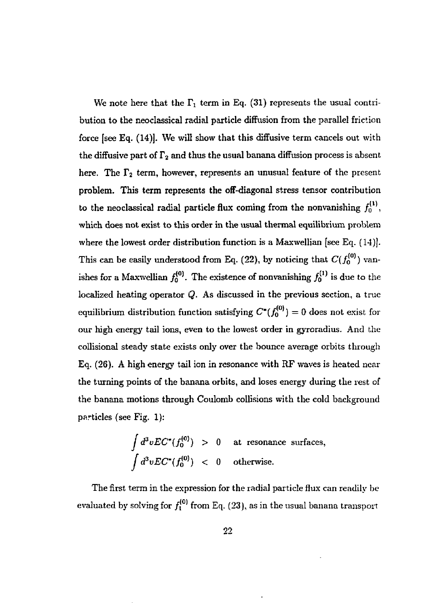We note here that the  $\Gamma_1$  term in Eq. (31) represents the usual contribution to the neoclassical radial particle diffusion from the parallel friction force [see Eq. (14)]. We will show that this diffusive term cancels out with the diffusive part of  $\Gamma_2$  and thus the usual banana diffusion process is absent here. The  $\Gamma_2$  term, however, represents an unusual feature of the present problem. This term represents the off-diagonal stress tensor contribution to the neoclassical radial particle flux coming from the nonvanishing  $f_0^{(1)}$ , which does not exist to this order in the usual thermal equilibrium problem where the lowest order distribution function is a Maxwellian [see Eq. (14)]. This can be easily understood from Eq. (22), by noticing that  $C(f_0^{(0)})$  vanishes for a Maxwellian  $f_0^{(0)}$ . The existence of nonvanishing  $f_0^{(1)}$  is due to the localized heating operator *Q.* As discussed in the previous section, a true equilibrium distribution function satisfying  $C^*(f_0^{(0)}) = 0$  does not exist for our high energy tail ions, even to the lowest order in gyroradius. And the collisional steady state exists only over the bounce average orbits through Eq. (26). A high energy tail ion in resonance with RF waves is heated near the turning points of the banana orbits, and loses energy during the rest of the banana motions through Coulomb collisions with the cold background particles (see Fig. 1):

$$
\int d^3v EC^*(f_0^{(0)}) > 0
$$
 at resonance surfaces,  

$$
\int d^3v EC^*(f_0^{(0)}) < 0
$$
 otherwise.

The first term in the expression for the radial particle flux can readily be evaluated by solving for  $f_1^{(0)}$  from Eq. (23), as in the usual banana transport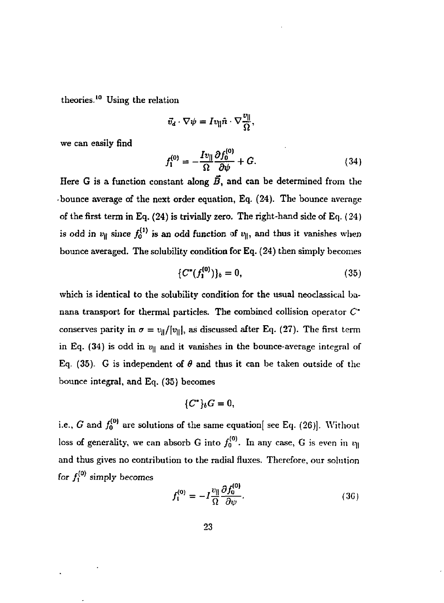theories.<sup>10</sup> Using the relation

$$
\vec{v}_d\cdot\nabla\psi=Iv_{\|}\hat{n}\cdot\nabla\frac{v_{\|}}{\Omega},
$$

we can easily find

$$
f_1^{(0)} = -\frac{Iv_{\parallel}}{\Omega} \frac{\partial f_0^{(0)}}{\partial \psi} + G.
$$
 (34)

Here G is a function constant along  $\vec{B}$ , and can be determined from the • bounce average of the next order equation, Eq. (24). The bounce average of the first term in Eq. (24) is trivially zero. The right-hand side of Eq. (24) is odd in  $v_{\parallel}$  since  $f_0^{(1)}$  is an odd function of  $v_{\parallel}$ , and thus it vanishes when bounce averaged. The solubility condition for Eq. (24) then simply becomes

$$
\{C^*(f_1^{(0)})\}_b = 0,\t\t(35)
$$

which is identical to the solubility condition for the usual neoclassical banana transport for thermal particles. The combined collision operator  $C^*$ conserves parity in  $\sigma = v_{\parallel}/|v_{\parallel}|$ , as discussed after Eq. (27). The first term in Eq. (34) is odd in  $v_\parallel$  and it vanishes in the bounce-average integral of Eq. (35). G is independent of  $\theta$  and thus it can be taken outside of the bounce integral, and Eq. (35) becomes

$$
\{C^*\}_bG=0,
$$

i.e., G and  $f_0^{(0)}$  are solutions of the same equation [see Eq. (26)]. Without loss of generality, we can absorb G into  $f_0^{(0)}$ . In any case, G is even in  $v_\parallel$ and thus gives no contribution to the radial fluxes. Therefore, our solution for  $f_1^{(0)}$  simply becomes

$$
f_1^{(0)} = -I \frac{v_{\parallel}}{\Omega} \frac{\partial f_0^{(0)}}{\partial \psi}.
$$
 (36)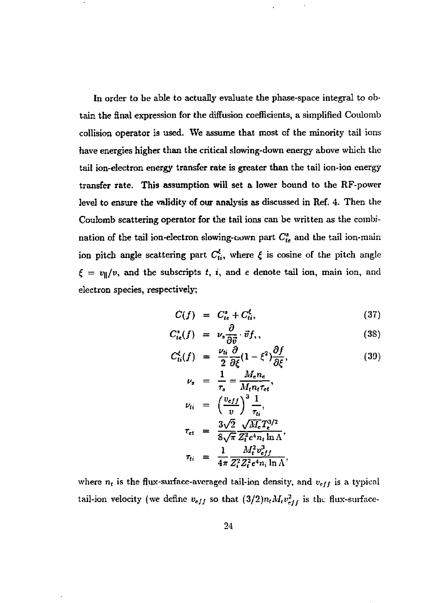In order to be able to actually evaluate the phase-space integral to obtain the final expression for the diffusion coefficients, a simplified Coulomb collision operator is used. We assume that most of the minority tail ions have energies higher than the critical slowing-down energy above which the tail ion-electron energy transfer rate is greater than the tail ion-ion energy transfer rate. This assumption will set a lower bound to the RF-power level to ensure the validity of our analysis as discussed in Ref. 4. Then the Coulomb scattering operator for the tail ions can be written as the combination of the tail ion-electron slowing-town part  $C_{i\epsilon}^s$  and the tail ion-main ion pitch angle scattering part  $C_{ij}^{\xi}$ , where  $\xi$  is cosine of the pitch angle  $\xi = v_{\parallel}/v$ , and the subscripts t, i, and e denote tail ion, main ion, and electron species, respectively;

$$
C(f) = C_{te}^s + C_{ti}^{\xi}, \qquad (37)
$$

$$
C_{te}^s(f) = \nu_s \frac{\partial}{\partial \vec{v}} \cdot \vec{v} f_\gamma,\tag{38}
$$

$$
C_{ti}^{\xi}(f) = \frac{\nu_{ti}}{2} \frac{\partial}{\partial \xi} (1 - \xi^2) \frac{\partial f}{\partial \xi}, \qquad (39)
$$

$$
\nu_s = \frac{1}{\tau_s} = \frac{M_e n_e}{M_t n_t \tau_{et}},
$$
\n
$$
\nu_{ti} = \left(\frac{v_{eff}}{v}\right)^3 \frac{1}{\tau_{ti}},
$$
\n
$$
\tau_{et} = \frac{3\sqrt{2}}{8\sqrt{\pi}} \frac{\sqrt{M_e} T_e^{3/2}}{Z_t^2 e^4 n_t \ln \Lambda},
$$
\n
$$
\tau_{ti} = \frac{1}{4\pi} \frac{M_t^2 v_{eff}^3}{Z_t^2 Z_t^2 e^4 n_i \ln \Lambda},
$$

where  $n_t$  is the flux-surface-averaged tail-ion density, and  $v_{eff}$  is a typical tail-ion velocity (we define  $v_{eff}$  so that  $(3/2)n_tM_tv_{eff}^2$  is the flux-surface-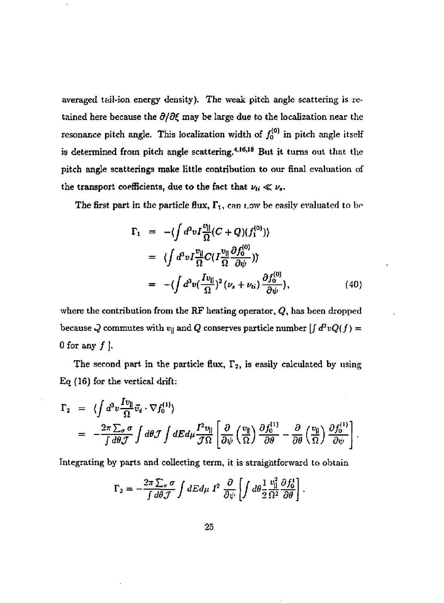averaged tail-ion energy density). The weak pitch angle scattering is retained here because the  $\partial/\partial \xi$  may be large due to the localization near the resonance pitch angle. This localization width of  $f_0^{(0)}$  in pitch angle itself is determined from pitch angle scattering.<sup>4,16,18</sup> But it turns out that the pitch angle scatterings make little contribution to our final evaluation of the transport coefficients, due to the fact that  $\nu_{ii} \ll \nu_s$ .

The first part in the particle flux,  $\Gamma_1$ , can now be easily evaluated to be

$$
\Gamma_1 = -\langle \int d^3v I \frac{v_{\parallel}}{\Omega} (C+Q)(f_1^{(0)}) \rangle
$$
  
\n
$$
= \langle \int d^3v I \frac{v_{\parallel}}{\Omega} C(I \frac{v_{\parallel}}{\Omega} \frac{\partial f_0^{(0)}}{\partial \psi}) \rangle
$$
  
\n
$$
= -\langle \int d^3v (\frac{Iv_{\parallel}}{\Omega})^2 (\nu_s + \nu_{ti}) \frac{\partial f_0^{(0)}}{\partial \psi} \rangle,
$$
 (40)

where the contribution from the RF heating operator, *Q,* has been dropped because  $Q$  commutes with  $v_{\parallel}$  and  $Q$  conserves particle number  $\int d^3v Q(f)$  = 0 for any  $f$  ].

The second part in the particle flux,  $\Gamma_2$ , is easily calculated by using Eq (16) for the vertical drift:

$$
\Gamma_2 = \langle \int d^3 v \frac{I v_{\parallel}}{\Omega} \vec{v}_4 \cdot \nabla f_0^{(1)} \rangle
$$
  
=  $-\frac{2\pi \sum_{\sigma} \sigma}{\int d\theta \mathcal{J}} \int d\theta \mathcal{J} \int dE d\mu \frac{I^2 v_{\parallel}}{\mathcal{J}\Omega} \left[ \frac{\partial}{\partial \psi} \left( \frac{v_{\parallel}}{\Omega} \right) \frac{\partial f_0^{(1)}}{\partial \theta} - \frac{\partial}{\partial \theta} \left( \frac{v_{\parallel}}{\Omega} \right) \frac{\partial f_0^{(1)}}{\partial \psi} \right].$ 

Integrating by parts and collecting term, it is straightforward to obtain

$$
\Gamma_2 = -\frac{2\pi \sum_{\sigma} \sigma}{\int d\theta \mathcal{J}} \int dE d\mu \, I^2 \, \frac{\partial}{\partial \psi} \left[ \int d\theta \frac{1}{2} \frac{v_{\parallel}^2}{\Omega^2} \frac{\partial f_0^1}{\partial \theta} \right]
$$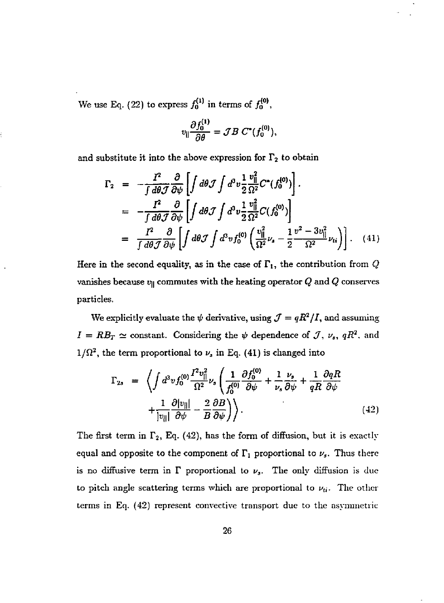We use Eq. (22) to express  $f_0^{(1)}$  in terms of  $f_0^{(0)}$ ,

$$
v_{\parallel} \frac{\partial f_0^{(1)}}{\partial \theta} = \mathcal{J} B \ C^*(f_0^{(0)}),
$$

and substitute it into the above expression for  $\Gamma_2$  to obtain

$$
\Gamma_2 = -\frac{I^2}{\int d\theta \mathcal{J}} \frac{\partial}{\partial \psi} \left[ \int d\theta \mathcal{J} \int d^3 v \frac{1}{2} \frac{v_{||}^2}{\Omega^2} C^*(f_0^{(0)}) \right] \cdot
$$
\n
$$
= -\frac{I^2}{\int d\theta \mathcal{J}} \frac{\partial}{\partial \psi} \left[ \int d\theta \mathcal{J} \int d^3 v \frac{1}{2} \frac{v_{||}^2}{\Omega^2} C(f_0^{(0)}) \right]
$$
\n
$$
= \frac{I^2}{\int d\theta \mathcal{J}} \frac{\partial}{\partial \psi} \left[ \int d\theta \mathcal{J} \int d^3 v f_0^{(0)} \left( \frac{v_{||}^2}{\Omega^2} \nu_s - \frac{1}{2} \frac{v^2 - 3v_{||}^2}{\Omega^2} \nu_{ti} \right) \right] \cdot (41)
$$

Here in the second equality, as in the case of  $\Gamma_1$ , the contribution from  $Q$ vanishes because  $v_{\parallel}$  commutes with the heating operator  $Q$  and  $Q$  conserves particles.

We explicitly evaluate the  $\psi$  derivative, using  $\mathcal{J} = qR^2/I$ , and assuming  $I = RB_T \simeq$  constant. Considering the  $\psi$  dependence of  $J$ ,  $\nu_s$ ,  $qR^2$ , and  $1/\Omega^2$ , the term proportional to  $\nu_s$  in Eq. (41) is changed into

$$
\Gamma_{2s} = \left\langle \int d^3 v f_0^{(0)} \frac{I^2 v_{||}^2}{\Omega^2} \nu_s \left( \frac{1}{f_0^{(0)}} \frac{\partial f_0^{(0)}}{\partial \psi} + \frac{1}{\nu_s} \frac{\nu_s}{\partial \psi} + \frac{1}{qR} \frac{\partial qR}{\partial \psi} + \frac{1}{|v_{||}|} \frac{\partial |v_{||}|}{\partial \psi} - \frac{2}{B} \frac{\partial B}{\partial \psi} \right) \right\rangle.
$$
\n(42)

The first term in  $\Gamma_2$ , Eq. (42), has the form of diffusion, but it is exactly equal and opposite to the component of  $\Gamma_1$  proportional to  $\nu_s$ . Thus there is no diffusive term in  $\Gamma$  proportional to  $\nu_s$ . The only diffusion is due to pitch angle scattering terms which are proportional to  $\nu_{ti}$ . The other terms in Eq. (42) represent convective transport due to the asymmetric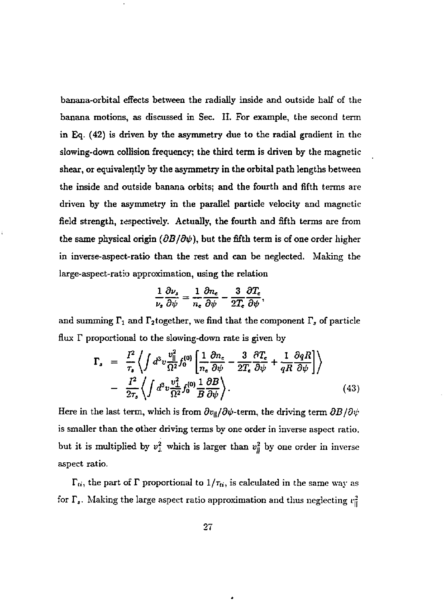banana-orbital effects between the radially inside and outside half of the banana motions, as discussed in Sec. II. For example, the second term in Eq. (42) is driven by the asymmetry due to the radial gradient in the slowing-down collision frequency; the third term is driven by the magnetic shear, or equivalently by the asymmetry in the orbital path lengths between the inside and outside banana orbits; and the fourth and fifth terms are driven by the asymmetry in the parallel particle velocity and magnetic field strength, respectively. Actually, the fourth and fifth terms are from the same physical origin  $(\partial B/\partial \psi)$ , but the fifth term is of one order higher in inverse-aspect-ratio than the rest and can be neglected. Making the large-aspect-ratio approximation, using the relation

$$
\frac{1}{\nu_s}\frac{\partial \nu_s}{\partial \psi} = \frac{1}{n_e}\frac{\partial n_e}{\partial \psi} - \frac{3}{2T_e}\frac{\partial T_e}{\partial \psi},
$$

and summing  $\Gamma_1$  and  $\Gamma_2$ together, we find that the component  $\Gamma_s$  of particle flux  $\Gamma$  proportional to the slowing-down rate is given by

$$
\Gamma_{s} = \frac{I^{2}}{\tau_{s}} \left\langle \int d^{3}v \frac{v_{\parallel}^{2}}{\Omega^{2}} f_{0}^{(0)} \left( \frac{1}{n_{e}} \frac{\partial n_{e}}{\partial \psi} - \frac{3}{2T_{e}} \frac{\partial T_{e}}{\partial \psi} + \frac{1}{qR} \frac{\partial qR}{\partial \psi} \right) \right\rangle - \frac{I^{2}}{2\tau_{s}} \left\langle \int d^{3}v \frac{v_{\perp}^{2}}{\Omega^{2}} f_{0}^{(0)} \frac{1}{B} \frac{\partial B}{\partial \psi} \right\rangle.
$$
 (43)

Here in the last term, which is from  $\partial v_{\parallel}/\partial \psi$ -term, the driving term  $\partial B/\partial \psi$ is smaller than the other driving terms by one order in inverse aspect ratio, but it is multiplied by  $v_\perp^2$  which is larger than  $v_\parallel^2$  by one order in inverse aspect ratio.

 $\Gamma_{ti}$ , the part of  $\Gamma$  proportional to  $1/\tau_{ti}$ , is calculated in the same way as for  $\Gamma_s$ . Making the large aspect ratio approximation and thus neglecting  $v_{\rm u}^2$ 

٠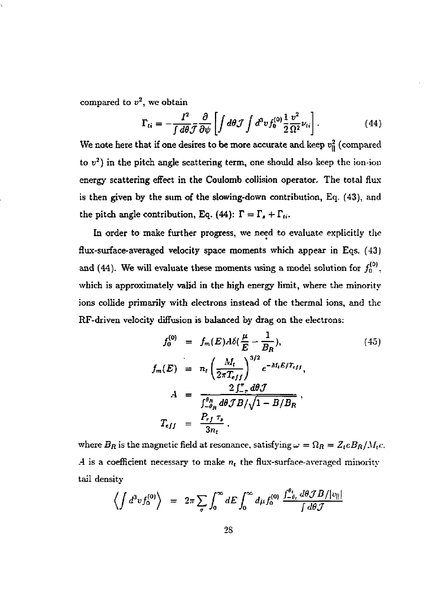compared to  $v^2$ , we obtain

$$
\Gamma_{ti} = -\frac{I^2}{\int d\theta \mathcal{J}} \frac{\partial}{\partial \psi} \left[ \int d\theta \mathcal{J} \int d^3 v f_0^{(0)} \frac{1}{2} \frac{v^2}{\Omega^2} \nu_{ti} \right]. \tag{44}
$$

We note here that if one desires to be more accurate and keep  $v_{\parallel}^2$  (compared to  $v^2$ ) in the pitch angle scattering term, one should also keep the ion-ion energy scattering effect in the Coulomb collision operator. The total flux is then given by the sum of the slowing-down contribution, Eq. (43), and the pitch angle contribution, Eq. (44):  $\Gamma = \Gamma_t + \Gamma_{ti}$ .

In order to make further progress, we need to evaluate explicitly the fiux-surface-averaged velocity space moments which appear in Eqs. (43) and (44). We will evaluate these moments using a model solution for  $f_0^{(0)}$ , which is approximately valid in the high energy limit, where the minority ions collide primarily with electrons instead of the thermal ions, and the RF-driven velocity diffusion is balanced by drag on the electrons:

$$
f_0^{(0)} = f_m(E) A \delta(\frac{\mu}{E} - \frac{1}{B_R}),
$$
\n
$$
f_m(E) = n_t \left(\frac{M_t}{2\pi T_{eff}}\right)^{3/2} e^{-M_t E/T_{eff}},
$$
\n
$$
A = \frac{2 \int_{-\pi}^{\pi} d\theta \mathcal{J}}{\int_{-\pi}^{\theta_R} d\theta \mathcal{J} B/\sqrt{1 - B/B_R}},
$$
\n
$$
T_{eff} = \frac{P_{rf} \tau_s}{3n_t}.
$$
\n(45)

where  $B_R$  is the magnetic field at resonance, satisfying  $\omega = \Omega_R = Z_t e B_R / M_t c$ . *A* is a coefficient necessary to make  $n_t$  the flux-surface-averaged minority tail density

$$
\left\langle \int d^3v f_0^{(0)} \right\rangle = 2\pi \sum_{\sigma} \int_0^{\infty} dE \int_0^{\infty} d\mu f_0^{(0)} \frac{\int_{-\theta_t}^{\theta_t} d\theta \mathcal{J} B/|v_{\parallel}|}{\int d\theta \mathcal{J}}
$$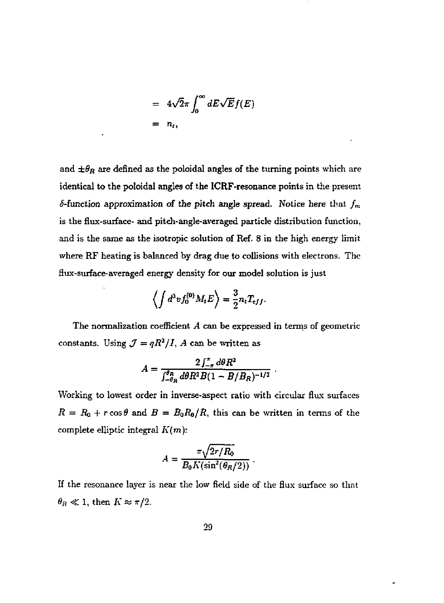$$
= 4\sqrt{2}\pi \int_0^\infty dE\sqrt{E}f(E)
$$
  
=  $n_t$ ,

and  $\pm\theta_R$  are defined as the poloidal angles of the turning points which are identical to the poloidal angles of the ICRF-resonance points in the present  $\delta$ -function approximation of the pitch angle spread. Notice here that  $f_m$ is the flux-surface- and pitch-angle-averaged particle distribution function, and is the same as the isotropic solution of Ref. 8 in the high energy limit where RF heating is balanced by drag due to collisions with electrons. The flux-surface-averaged energy density for our model solution is just

$$
\left\langle \int d^3v f_0^{(0)} M_t E \right\rangle = \frac{3}{2} n_t T_{eff}.
$$

The normalization coefficient *A* can be expressed in terms of geometric constants. Using  $\mathcal{J} = qR^2/I$ , A can be written as

$$
A = \frac{2 \int_{-\pi}^{\pi} d\theta R^2}{\int_{-\theta_R}^{\theta_R} d\theta R^2 B (1 - B/B_R)^{-1/2}}.
$$

Working to lowest order in inverse-aspect ratio with circular flux surfaces  $R = R_0 + r \cos \theta$  and  $B = B_0 R_0 / R$ , this can be written in terms of the complete elliptic integral *K(m):* 

$$
A = \frac{\pi \sqrt{2r/R_0}}{B_0 K(\sin^2(\theta_R/2))}.
$$

If the resonance layer is near the low field side of the flux surface so that  $\theta_R \ll 1$ , then  $K \approx \pi/2$ .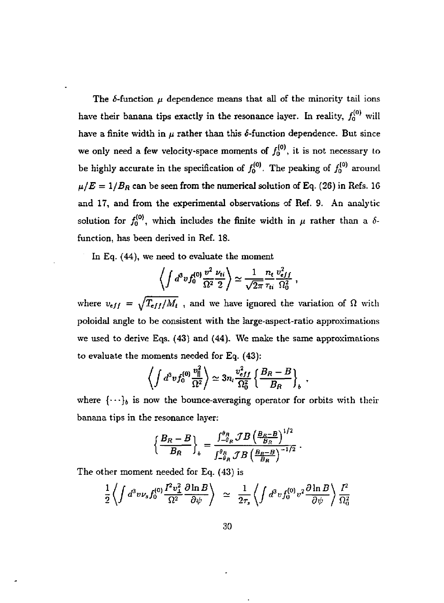The  $\delta$ -function  $\mu$  dependence means that all of the minority tail ions have their banana tips exactly in the resonance layer. In reality,  $f_0^{(0)}$  will have a finite width in  $\mu$  rather than this  $\delta$ -function dependence. But since we only need a few velocity-space moments of  $f_0^{(0)}$ , it is not necessary to be highly accurate in the specification of  $f_0^{(0)}$ . The peaking of  $f_0^{(0)}$  around  $\mu/E = 1/B_R$  can be seen from the numerical solution of Eq. (26) in Refs. 16 and 17, and from the experimental observations of Ref. 9. An analytic solution for  $f_0^{(0)}$ , which includes the finite width in  $\mu$  rather than a  $\delta$ function, has been derived in Ref. 18.

In Eq. (44), we need to evaluate the moment

$$
\left\langle \int d^3v f_0^{(0)}\frac{v^2}{\Omega^2}\frac{\nu_{ti}}{2}\right\rangle \simeq \frac{1}{\sqrt{2\pi}}\frac{n_t}{\tau_{ti}}\frac{v_{eff}^2}{\Omega_0^2},
$$

where  $v_{eff} = \sqrt{T_{eff}/M_t}$ , and we have ignored the variation of  $\Omega$  with poloidal angle to be consistent with the large-aspect-ratio approximations we used to derive Eqs. (43) and (44). We make the same approximations to evaluate the moments needed for Eq. (43):

$$
\left\langle \int d^3v f_0^{(0)} \frac{v_{||}^2}{\Omega^2} \right\rangle \simeq 3n_i \frac{v_{eff}^2}{\Omega_0^2} \left\{ \frac{B_R - B}{B_R} \right\}_b.
$$

where  $\{\cdots\}_b$  is now the bounce-averaging operator for orbits with their banana tips in the resonance layer:

$$
\left\{\frac{B_R-B}{B_R}\right\}_b = \frac{\int_{-\theta_R}^{\theta_R} \mathcal{J}B\left(\frac{B_R-B}{B_R}\right)^{1/2}}{\int_{-\theta_R}^{\theta_R} \mathcal{J}B\left(\frac{B_R-B}{B_R}\right)^{-1/2}}.
$$

The other moment needed for Eq. (43) is

$$
\frac{1}{2}\left\langle \int d^3 v \nu_s f_0^{(0)} \frac{I^2 v_\perp^2}{\Omega^2} \frac{\partial \ln B}{\partial \psi} \right\rangle \;\simeq\; \frac{1}{2\tau_s} \left\langle \int d^3 v f_0^{(0)} v^2 \frac{\partial \ln B}{\partial \psi} \right\rangle \frac{I^2}{\Omega_0^2}
$$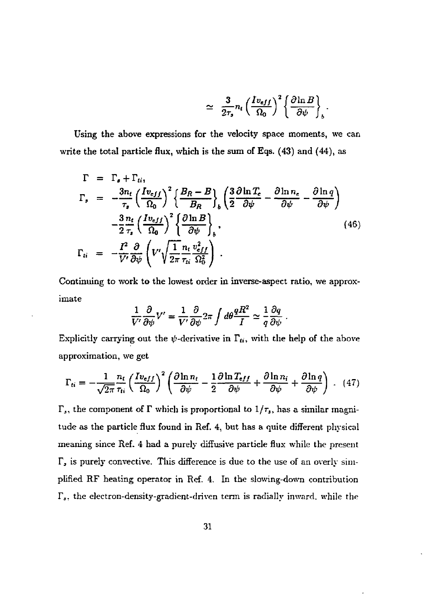$$
\simeq \frac{3}{2\tau_s} n_t \left(\frac{I v_{eff}}{\Omega_0}\right)^2 \left\{\frac{\partial \ln B}{\partial \psi}\right\}_b
$$

Using the above expressions for the velocity space moments, we can write the total particle flux, which is the sum of Eqs. (43) and (44), as

$$
\Gamma = \Gamma_{\bullet} + \Gamma_{ti},
$$
\n
$$
\Gamma_{\bullet} = -\frac{3n_{t}}{\tau_{\bullet}} \left( \frac{Iv_{eff}}{\Omega_{0}} \right)^{2} \left\{ \frac{B_{R} - B}{B_{R}} \right\}_{b} \left( \frac{3}{2} \frac{\partial \ln T_{c}}{\partial \psi} - \frac{\partial \ln n_{e}}{\partial \psi} - \frac{\partial \ln q}{\partial \psi} \right)
$$
\n
$$
-\frac{3}{2} \frac{n_{t}}{\tau_{s}} \left( \frac{Iv_{eff}}{\Omega_{0}} \right)^{2} \left\{ \frac{\partial \ln B}{\partial \psi} \right\}_{b},
$$
\n
$$
\Gamma_{ti} = -\frac{I^{2}}{V'} \frac{\partial}{\partial \psi} \left( V' \sqrt{\frac{1}{2\pi} \frac{n_{t}}{n_{ti}} \frac{v_{eff}^{2}}{\Omega_{0}^{2}}} \right).
$$
\n(46)

Continuing to work to the lowest order in inverse-aspect ratio, we approximate

$$
\frac{1}{V'}\frac{\partial}{\partial\psi}V'=\frac{1}{V'}\frac{\partial}{\partial\psi}2\pi\int d\theta\frac{qR^2}{I}\simeq\frac{1}{q}\frac{\partial q}{\partial\psi}
$$

Explicitly carrying out the  $\psi$ -derivative in  $\Gamma_{ti}$ , with the help of the above approximation, we get

$$
\Gamma_{ti} = -\frac{1}{\sqrt{2\pi}} \frac{n_t}{\tau_{ti}} \left(\frac{I v_{eff}}{\Omega_0}\right)^2 \left(\frac{\partial \ln n_t}{\partial \psi} - \frac{1}{2} \frac{\partial \ln T_{eff}}{\partial \psi} + \frac{\partial \ln n_i}{\partial \psi} + \frac{\partial \ln q}{\partial \psi}\right) . \tag{47}
$$

 $\Gamma_s$ , the component of  $\Gamma$  which is proportional to  $1/\tau_s$ , has a similar magnitude as the particle flux found in Ref. 4, but has a quite different physical meaning since Ref. 4 had a purely diffusive particle flux while the present *T,* is purely convective. This difference is due to the use of an overly simplified RF heating operator in Ref. 4. In the slowing-down contribution  $\Gamma_s$ , the electron-density-gradient-driven term is radially inward, while the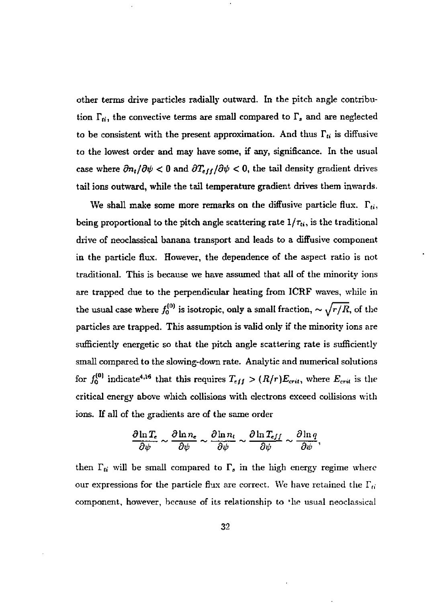other terms drive particles radially outward. In the pitch angle contribution  $\Gamma_{ti}$ , the convective terms are small compared to  $\Gamma_s$  and are neglected to be consistent with the present approximation. And thus  $\Gamma_t$  is diffusive to the lowest order and may have some, if any, significance. In the usual case where  $\partial n_t / \partial \psi < 0$  and  $\partial T_{eff} / \partial \psi < 0$ , the tail density gradient drives tail ions outward, while the tail temperature gradient drives them inwards.

We shall make some more remarks on the diffusive particle flux.  $\Gamma_{ti}$ , being proportional to the pitch angle scattering rate  $1/\tau_{ti}$ , is the traditional drive of neoclassical banana transport and leads to a diffusive component in the particle flux. However, the dependence of the aspect ratio is not traditional. This is because we have assumed that all of the minority ions are trapped due to the perpendicular heating from ICRF waves, while in the usual case where  $f_0^{(0)}$  is isotropic, only a small fraction,  $\sim \sqrt{r/R}$ , of the particles are trapped. This assumption is valid only if the minority ions are sufficiently energetic so that the pitch angle scattering rate is sufficiently small compared to the slowing-down rate. Analytic and numerical solutions for  $f_0^{(0)}$  indicate<sup>4,16</sup> that this requires  $T_{eff} > (R/r)E_{crit}$ , where  $E_{crit}$  is the critical energy above which collisions with electrons exceed collisions with ions. If all of the gradients are of the same order

$$
\frac{\partial \ln T_{\epsilon}}{\partial \psi} \sim \frac{\partial \ln n_{\epsilon}}{\partial \psi} \sim \frac{\partial \ln n_{t}}{\partial \psi} \sim \frac{\partial \ln T_{eff}}{\partial \psi} \sim \frac{\partial \ln q}{\partial \psi},
$$

then  $\Gamma_{ti}$  will be small compared to  $\Gamma_s$  in the high energy regime where our expressions for the particle flux are correct. We have retained the  $\Gamma_{ti}$ component, however, because of its relationship to 'lie usual neoclassical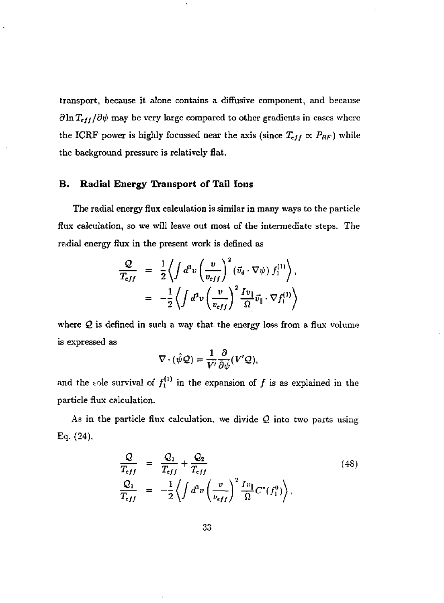transport, because it alone contains a diffusive component, and because  $\partial \ln T_{eff}/\partial \psi$  may be very large compared to other gradients in cases where the ICRF power is highly focussed near the axis (since  $T_{eff} \propto P_{RF}$ ) while the background pressure is relatively flat.

#### **B. Radial Energy Transport of Tail Ions**

The radial energy flux calculation is similar in many ways to the particle flux calculation, so we will leave out most of the intermediate steps. The radial energy flux in the present work is defined as

$$
\frac{\mathcal{Q}}{T_{eff}} = \frac{1}{2} \left\langle \int d^3 v \left( \frac{v}{v_{eff}} \right)^2 (\vec{v}_d \cdot \nabla \psi) f_1^{(1)} \right\rangle,
$$
  

$$
= -\frac{1}{2} \left\langle \int d^3 v \left( \frac{v}{v_{eff}} \right)^2 \frac{I v_{||}}{\Omega} \vec{v}_{||} \cdot \nabla f_1^{(1)} \right\rangle
$$

where *Q* is defined in such a way that the energy loss from a flux volume is expressed as

$$
\nabla\cdot(\hat{\psi}\mathcal{Q})=\frac{1}{V'}\frac{\partial}{\partial\psi}(V'\mathcal{Q}),
$$

and the sole survival of  $f_1^{(1)}$  in the expansion of f is as explained in the particle flux calculation.

As in the particle flux calculation, we divide *Q* into two parts using Eq- (24),

$$
\frac{Q}{T_{eff}} = \frac{Q_1}{T_{eff}} + \frac{Q_2}{T_{eff}}
$$
\n
$$
\frac{Q_1}{T_{eff}} = -\frac{1}{2} \left\langle \int d^3 v \left( \frac{v}{v_{eff}} \right)^2 \frac{I v_{\parallel}}{\Omega} C^{\tau}(f_1^0) \right\rangle,
$$
\n(48)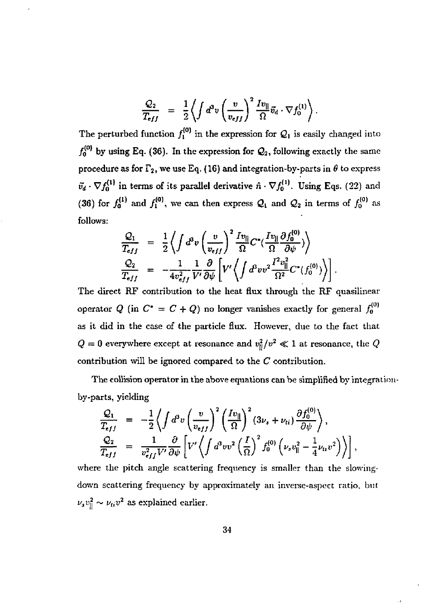$$
\frac{Q_2}{T_{eff}} = \frac{1}{2} \left\langle \int d^3 v \left( \frac{v}{v_{eff}} \right)^2 \frac{I v_{\parallel}}{\Omega} \vec{v}_d \cdot \nabla f_0^{(1)} \right\rangle.
$$

The perturbed function  $f_1^{(0)}$  in the expression for  $\mathcal{Q}_1$  is easily changed into  $f_0^{(0)}$  by using Eq. (36). In the expression for  $Q_2$ , following exactly the same procedure as for  $\Gamma_2$ , we use Eq. (16) and integration-by-parts in  $\theta$  to express  $\tilde{v}_d \cdot \nabla f_0^{(1)}$  in terms of its parallel derivative  $\hat{n} \cdot \nabla f_0^{(1)}$ . Using Eqs. (22) and (36) for  $f_0^{(1)}$  and  $f_1^{(0)}$ , we can then express  $\mathcal{Q}_1$  and  $\mathcal{Q}_2$  in terms of  $f_0^{(0)}$  as follows:

$$
\frac{\mathcal{Q}_1}{T_{eff}} = \frac{1}{2} \left\langle \int d^3 v \left( \frac{v}{v_{eff}} \right)^2 \frac{I v_{||}}{\Omega} C^*(\frac{I v_{||}}{\Omega} \frac{\partial f_0^{(0)}}{\partial \psi}) \right\rangle
$$
\n
$$
\frac{\mathcal{Q}_2}{T_{eff}} = -\frac{1}{4 v_{eff}^2} \frac{1}{V'} \frac{\partial}{\partial \psi} \left[ V' \left\langle \int d^3 v v^2 \frac{I^2 v_{||}^2}{\Omega^2} C^*(f_0^{(0)}) \right\rangle \right].
$$

The direct RF contribution to the heat flux through the RF quasilinear operator  $Q$  (in  $C^* = C + Q$ ) no longer vanishes exactly for general  $f_0^{(0)}$ as it did in the case of the particle flux. However, due to the fact that  $Q = 0$  everywhere except at resonance and  $v_{\rm ii}^2/v^2 \ll 1$  at resonance, the  $Q$ contribution will be ignored compared to the *C* contribution.

The collision operator in the above equations can be simplified by integrationby-parts, yielding

$$
\frac{\mathcal{Q}_1}{T_{eff}} = -\frac{1}{2} \left\langle \int d^3 v \left( \frac{v}{v_{eff}} \right)^2 \left( \frac{I v_{\parallel}}{\Omega} \right)^2 (3\nu_s + \nu_{ti}) \frac{\partial f_0^{(0)}}{\partial \psi} \right\rangle,
$$
\n
$$
\frac{\mathcal{Q}_2}{T_{eff}} = \frac{1}{v_{eff}^2 V'} \frac{\partial}{\partial \psi} \left[ V' \left\langle \int d^3 v v^2 \left( \frac{I}{\Omega} \right)^2 f_0^{(0)} \left( \nu_s v_{\parallel}^2 - \frac{1}{4} \nu_{tt} v^2 \right) \right\rangle \right],
$$

where the pitch angle scattering frequency is smaller than the slowingdown scattering frequency by approximately an inverse-aspect ratio, but  $\left[v_3v\right]$   $\sim$   $v_1v$  as explained earlier.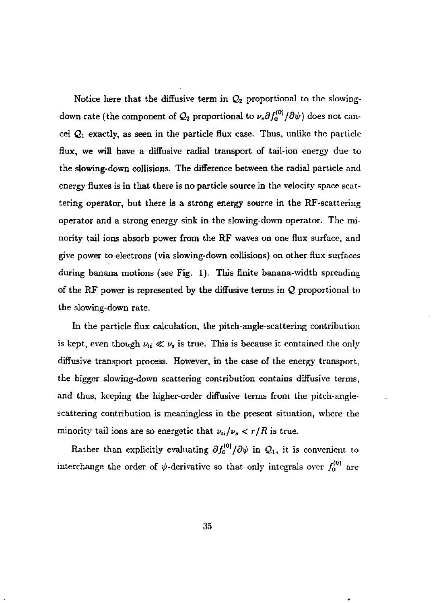Notice here that the diffusive term in  $Q_2$  proportional to the slowingdown rate (the component of  $\mathcal{Q}_2$  proportional to  $\nu_\text{\tiny s}\partial f_0^{(0)}/\partial\psi)$  does not cancel *Qi* exactly, as seen in the particle flux case. Thus, unlike the particle flux, we will have a diffusive radial transport of tail-ion energy due to the slowing-down collisions. The difference between the radial particle and energy fluxes is in that there is no particle source in the velocity space scattering operator, but there is a strong energy source in the RF-scattering operator and a strong energy sink in the slowing-down operator. The minority tail ions absorb power from the RF waves on one flux surface, and give power to electrons (via slowing-down collisions) on other flux surfaces during banana motions (see Fig. 1). This finite banana-width spreading of the RF power is represented by the diffusive terms in *Q* proportional to the slowing-down rate.

In the particle flux calculation, the pitch-angle-scattering contribution is kept, even though  $\nu_{ti} \ll \nu$ , is true. This is because it contained the only diffusive transport process. However, in the case of the energy transport, the bigger slowing-down scattering contribution contains diffusive terms, and thus, keeping the higher-order diffusive terms from the pitch-anglescattering contribution is meaningless in the present situation, where the minority tail ions are so energetic that  $\nu_{\mathbf{i}/\nu_{\mathbf{a}}} < \tau/R$  is true.

Rather than explicitly evaluating  $\partial f_0^{(0)}/\partial \psi$  in  $\mathcal{Q}_1$ , it is convenient to interchange the order of  $\psi$ -derivative so that only integrals over  $f_0^{(0)}$  are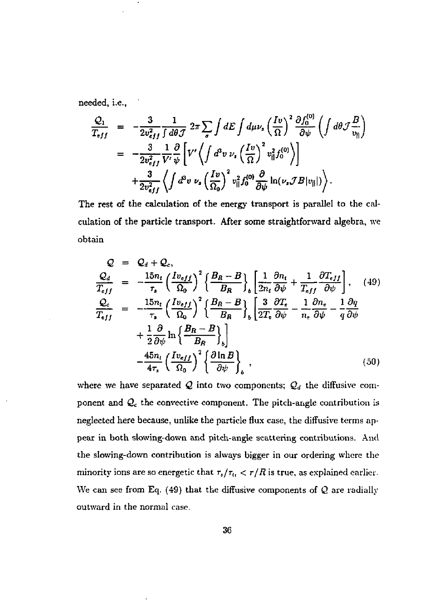needed, i.e.,

$$
\frac{Q_1}{T_{eff}} = -\frac{3}{2v_{eff}^2} \frac{1}{\int d\theta \mathcal{J}} 2\pi \sum_{\sigma} \int dE \int d\mu \nu_s \left(\frac{Iv}{\Omega}\right)^2 \frac{\partial f_0^{(0)}}{\partial \psi} \left(\int d\theta \mathcal{J} \frac{B}{v_{\parallel}}\right)
$$
  
\n
$$
= -\frac{3}{2v_{eff}^2} \frac{1}{V'} \frac{\partial}{\psi} \left[V' \left\langle \int d^2v \nu_s \left(\frac{Iv}{\Omega}\right)^2 v_{\parallel}^2 f_0^{(0)} \right\rangle\right]
$$
  
\n
$$
+ \frac{3}{2v_{eff}^2} \left\langle \int d^2v \nu_s \left(\frac{Iv}{\Omega_0}\right)^2 v_{\parallel}^2 f_0^{(0)} \frac{\partial}{\partial \psi} \ln(\nu_s \mathcal{J} B |v_{\parallel}|) \right\rangle.
$$

The rest of the calculation of the energy transport is parallel to the calculation of the particle transport. After some straightforward algebra, we obtain

$$
Q = Q_d + Q_c,
$$
\n
$$
\frac{Q_d}{T_{eff}} = -\frac{15n_t}{r_s} \left(\frac{Iv_{eff}}{\Omega_0}\right)^2 \left\{\frac{B_R - B}{B_R}\right\}_b \left[\frac{1}{2n_t} \frac{\partial n_t}{\partial \psi} + \frac{1}{T_{eff}} \frac{\partial T_{eff}}{\partial \psi}\right], \quad (49)
$$
\n
$$
\frac{Q_c}{T_{eff}} = -\frac{15n_t}{r_s} \left(\frac{Iv_{eff}}{\Omega_0}\right)^2 \left\{\frac{B_R - B}{B_R}\right\}_b \left[\frac{3}{2T_c} \frac{\partial T_c}{\partial \psi} - \frac{1}{n_c} \frac{\partial n_c}{\partial \psi} - \frac{1}{q} \frac{\partial q}{\partial \psi}\right]
$$
\n
$$
+ \frac{1}{2} \frac{\partial}{\partial \psi} \ln \left\{\frac{B_R - B}{B_R}\right\}_b \right]
$$
\n
$$
- \frac{45n_t}{4\tau_s} \left(\frac{Iv_{eff}}{\Omega_0}\right)^2 \left\{\frac{\partial \ln B}{\partial \psi}\right\}_b, \quad (50)
$$

where we have separated  $Q$  into two components;  $Q_d$  the diffusive component and *Q<sup>c</sup>* the convective component. The pitch-angle contribution is neglected here because, unlike the particle flux case, the diffusive terms appear in both slowing-down and pitch-angle scattering contributions. And the slowing-down contribution is always bigger in our ordering where the minority ions are so energetic that  $\tau_s/\tau_u < r/R$  is true, as explained earlier. We can see from Eq. (49) that the diffusive components of *Q* are radially outward in the normal case.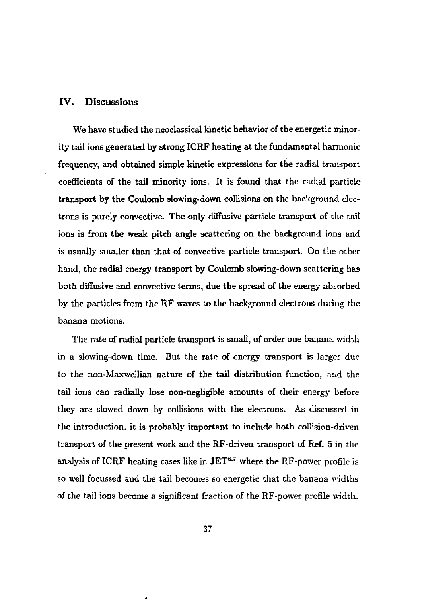#### IV. Discussions

We have studied the neoclassical kinetic behavior of the energetic minority tail ions generated by strong ICRF heating at the fundamental harmonic frequency, and obtained simple kinetic expressions for the radial transport coefficients of the tail minority ions. It is found that the radial particle transport by the Coulomb slowing-down collisions on the background electrons is purely convective. The only diffusive particle transport of the tail ions is from the weak pitch angle scattering on the background ions and is usually smaller than that of convective particle transport. On the other hand, the radial energy transport by Coulomb slowing-down scattering has both diffusive and convective terms, due the spread of the energy absorbed by the particles from the RF waves to the background electrons duiing the banana motions.

The rate of radial particle transport is small, of order one banana width in a slowing-down time. But the rate of energy transport is larger due to the non-Maxwellian nature of the tail distribution function, and the tail ions can radially lose non-negligible amounts of their energy before they are slowed down by collisions with the electrons. As discussed in the introduction, it is probably important to include both collision-driven transport of the present work and the RF-driven transport of Ref. 5 in the analysis of ICRF heating cases like in  $JET^{6,7}$  where the RF-power profile is so well focussed and the tail becomes so energetic that the banana widths of the tail ions become a significant fraction of the RF-power profile width.

í.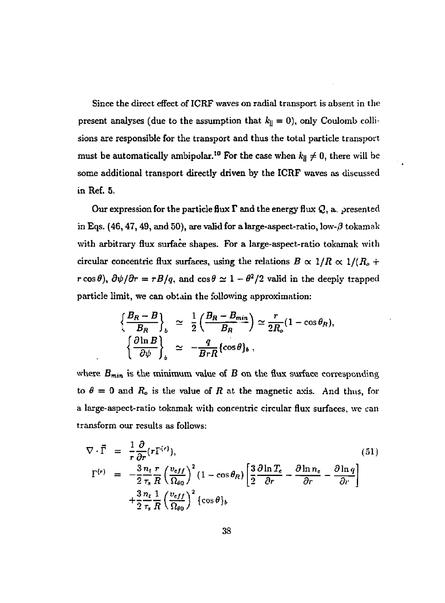Since the direct effect of ICRF waves on radial transport is absent in the present analyses (due to the assumption that  $k_{\parallel} = 0$ ), only Coulomb collisions are responsible for the transport and thus the total particle transport must be automatically ambipolar.<sup>10</sup> For the case when  $k_{\parallel} \neq 0$ , there will be some additional transport directly driven by the ICRF waves as discussed in Ref. 5.

Our expression for the particle flux *T* and the energy flux *Q*, a. presented in Eqs. (46, 47, 49, and 50), are valid for a large-aspect-ratio, low- $\beta$  tokamak with arbitrary flux surface shapes. For a large-aspect-ratio tokamak with circular concentric flux surfaces, using the relations  $B \propto 1/R \propto 1/(R_o + 1/m_e)$  $r \cos \theta$ ,  $\frac{\partial \psi}{\partial r} = rB/q$ , and  $\cos \theta \simeq 1 - \theta^2/2$  valid in the deeply trapped particle limit, we can obtain the following approximation:

$$
\left\{\frac{B_R - B}{B_R}\right\}_b \simeq \frac{1}{2} \left(\frac{B_R - B_{min}}{B_R}\right) \simeq \frac{r}{2R_o} (1 - \cos \theta_R),
$$
  

$$
\left\{\frac{\partial \ln B}{\partial \psi}\right\}_b \simeq -\frac{q}{BrR} \{\cos \theta\}_b,
$$

where  $B_{min}$  is the minimum value of  $B$  on the flux surface corresponding to  $\theta = 0$  and  $R_o$  is the value of  $R$  at the magnetic axis. And thus, for a large-aspect-ratio tokamak with concentric circular flux surfaces, we can transform our results as follows:

$$
\nabla \cdot \vec{\Gamma} = \frac{1}{r} \frac{\partial}{\partial r} (r \Gamma^{(r)}),
$$
\n
$$
\Gamma^{(r)} = -\frac{3}{2} \frac{n_t r}{r_s R} \left( \frac{v_{eff}}{\Omega_{g_0}} \right)^2 (1 - \cos \theta_R) \left[ \frac{3}{2} \frac{\partial \ln T_e}{\partial r} - \frac{\partial \ln n_e}{\partial r} - \frac{\partial \ln q}{\partial r} \right]
$$
\n
$$
+ \frac{3}{2} \frac{n_t}{r_s R} \left( \frac{v_{eff}}{\Omega_{g_0}} \right)^2 \{ \cos \theta \}_b
$$
\n(51)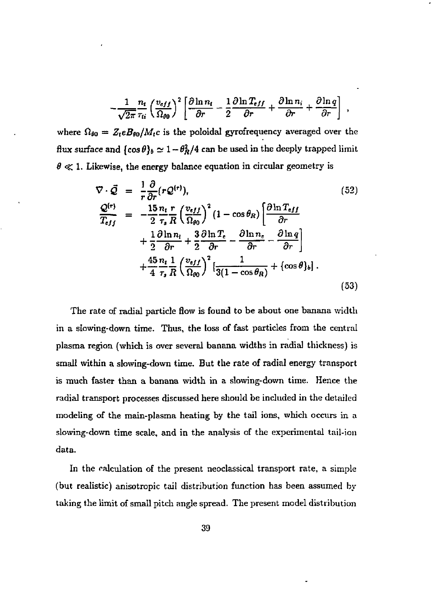$$
-\frac{1}{\sqrt{2\pi}}\frac{n_t}{\tau_{ti}}\left(\frac{v_{eff}}{\Omega_{\theta 0}}\right)^2 \left[\frac{\partial \ln n_t}{\partial r} - \frac{1}{2}\frac{\partial \ln T_{eff}}{\partial r} + \frac{\partial \ln n_i}{\partial r} + \frac{\partial \ln q}{\partial r}\right],
$$

where  $\Omega_{\theta 0} = Z_t e B_{\theta 0} / M_t c$  is the poloidal gyrofrequency averaged over the flux surface and  $\{\cos \theta\}_b \simeq 1 - \theta_R^2/4$  can be used in the deeply trapped limit  $\theta \ll 1$ . Likewise, the energy balance equation in circular geometry is

$$
\nabla \cdot \vec{Q} = \frac{1}{r} \frac{\partial}{\partial r} (r \mathcal{Q}^{(r)}),
$$
\n
$$
\frac{\mathcal{Q}^{(r)}}{T_{eff}} = -\frac{15}{2} \frac{n_t r}{\tau_s R} \left(\frac{v_{eff}}{\Omega_{\theta 0}}\right)^2 (1 - \cos \theta_R) \left[\frac{\partial \ln T_{eff}}{\partial r} + \frac{1}{2} \frac{\partial \ln n_t}{\partial r} + \frac{3}{2} \frac{\partial \ln T_e}{\partial r} - \frac{\partial \ln n_e}{\partial r} - \frac{\partial \ln q}{\partial r}\right] + \frac{45}{4} \frac{n_t}{\tau_s R} \left(\frac{v_{eff}}{\Omega_{\theta 0}}\right)^2 \left[\frac{1}{3(1 - \cos \theta_R)} + \{\cos \theta\}_b\right].
$$
\n(53)

The rate of radial particle flow is found to be about one banana width in a slowing-down time. Thus, the loss of fast particles from the central plasma region (which is over several banana widths in radial thickness) is small within a slowing-down time. But the rate of radial energy transport is much faster than a banana width in a slowjng-down time. Hence the radial transport processes discussed here should be included in the detailed modeling of the main-plasma heating by the tail ions, which occurs in a slowing-down time scale, and in the analysis of the experimental tail-ion data.

In the calculation of the present neoclassical transport rate, a simple (but realistic) anisotropic tail distribution function has been assumed by taking the limit of small pitch angle spread. The present model distribution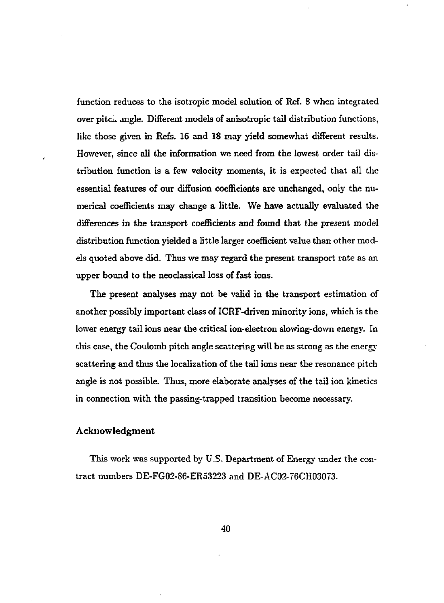function reduces to the isotropic model solution of Ref. 8 when integrated over pitcii angle. Different models of anisotropic tail distribution functions, like those given in Refs. 16 and 18 may yield somewhat different results. However, since all the information we need from the lowest order tail distribution function is a few velocity moments, it is expected that all the essential features of our diffusion coefficients are unchanged, only the numerical coefficients may change a little. We have actually evaluated the differences in the transport coefficients and found that the present model distribution function yielded a little larger coefficient value than other models quoted above did. Thus we may regard the present transport rate as an upper bound to the neoclassical loss of fast ions.

The present analyses may not be valid in the transport estimation of another possibly important class of ICRF-driven minority ions, which is the lower energy tail ions near the critical ion-electron slowing-down energy. In this case, the Coulomb pitch angle scattering will be as strong as the energy scattering and thus the localization of the tail ions near the resonance pitch angle is not possible. Thus, more elaborate analyses of the tail ion kinetics in connection with the passing-trapped transition become necessary.

#### Acknowledgment

This work was supported by U.S. Department of Energy under the contract numbers DE-FG02-S6-ER53223 and DE-AC02-76CH03073.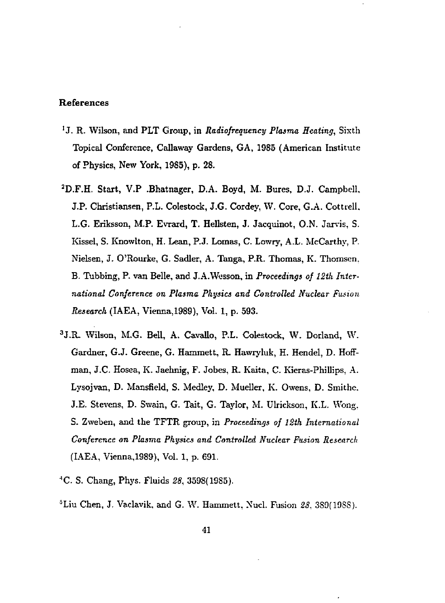#### References

- <sup>1</sup>J. R. Wilson, and PLT Group, in Radiofrequency Plasma Heating, Sixth Topical Conference, Callaway Gardens, GA, 1985 (American Institute of Physics, New York, 1985), p. 28.
- <sup>2</sup>D.F.H. Start, V.P .Bhatnager, D.A. Boyd, M. Bures, D.J. Campbell. J.P. Christiansen, P.L. Colestock, J.G. Cordey, W. Core, G.A. Cottrell. L.G. Eriksson, MP. Evrard, T. Hellsten, J. Jacquinot, O.N. Jarvis, S. Kissel, S. Knowlton, H. Lean, P.J. Lomas, C. Lowry, A.L. McCarthy, P. Nielsen, J. O'Rourke, G. Sadler, A. Tanga, P.R. Thomas, K. Thomsen. B. Tubbing, P. van Belle, and J.A.Wesson, in *Proceedings of 12tk International Conference on Plasma Physics and Controlled Nuclear Fusion Research* (IAEA, Vienna, 1989), Vol. 1, p. 593.
- 3 J.R. Wilson, M.G. Bell, A. CavaUo, P.L. Colestock, W. Dorland, W. Gardner, G.J. Greene, G. Hammett, R\_ Hawryluk, H. Hendel, D. Hoffman, J.C. Hosea, K. Jaehnig, F. Jobes, R. Kaita, C- Kieras-Phillips, A. Lysojvan, D. Mansfield, S. Medley, D. Mueller, K. Owens, D. Smithe. J.E. Stevens, D. Swain, G. Tait, G. Taylor, M. Ulrickson, K.L. Wong. S. Zweben, and the TFTR group, in *Proceedings of 12th International Conference on Plasma Pkysics and Controlled Nuclear Fusion Research*  (IAEA, Vienna,1989), Vol. 1, p. 691.
- •'C. S. Chang, Phys. Fluids *28,* 3598(19S5).
- 5 Liu Chen, J. Vaclavik, and G. W. Hammett, Nucl. Fusion *2S.* 3S9(19SS).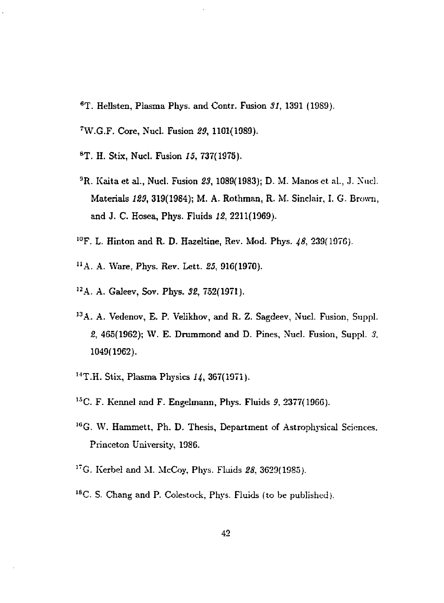- <sup>6</sup>T. Heilsten, Plasma Phys. and Contr. Fusion *SI,* 1391 (1989).
- <sup>7</sup>W.G.F. Core, Nucl. Fusion *29,* 1101(1989).
- <sup>8</sup>T. H. Stix, Nucl. Fusion *15,* 737(1975).
- *<sup>9</sup>R.* Kaita et al., Nucl. Fusion *23,* 1089(1983); D. M. Manos ct al., J. Nucl. Materials *129,* 319(1984); M. A. Rothman, R. M. Sinclair, I. G. Brown, and J. C. Hosea, Phys. Fluids *12,* 2211(1969).
- <sup>10</sup>F. L. Hinton and R. D. Hazeltine, Rev. Mod. Phys. 48, 239(1976).
- "A. A. Ware, Phys. Rev. Lett. *25,* 916(1970).
- 1 2A. A. Galeev, Sov. Phys. *32,* 752(1971).
- <sup>13</sup>A. A. Vedenov, E. P. Velikhov, and R. Z. Sagdeev, Nucl. Fusion, Suppl. *2,* 465(1962); W. E. Drummond and D. Pines, Nucl. Fusion, Suppl. *3.*  1049(1962).
- <sup>14</sup>T.H. Stix, Plasma Physics 14, 367(1971).
- 1 5C. F. Kennel and F. Engelmann, Phys. Fluids *9,* 2377(1966).
- <sup>16</sup>G. W. Hammett, Ph. D. Thesis, Department of Astrophysical Sciences. Princeton University, 1986.
- 1 7G. Kerbel and M. McCoy, Phys. Fluids *28,* 3629(1985).
- <sup>18</sup>C. S. Chang and P. Colestock, Phys. Fluids (to be published).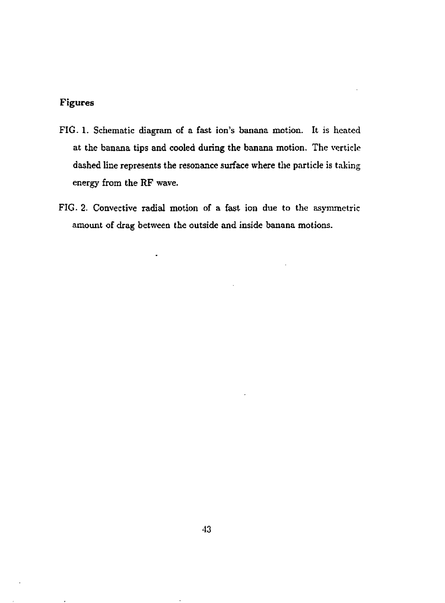### **Figures**

- FIG. **1.** Schematic diagram of a fast ion's banana motion. It is heated at the banana tips and cooled during the banana motion. The verticle dashed line represents the resonance surface where the particle is taking energy from the RF wave.
- FIG. 2. Convective radial motion of a fast ion due to the asymmetric amount of drag between the outside and inside banana motions.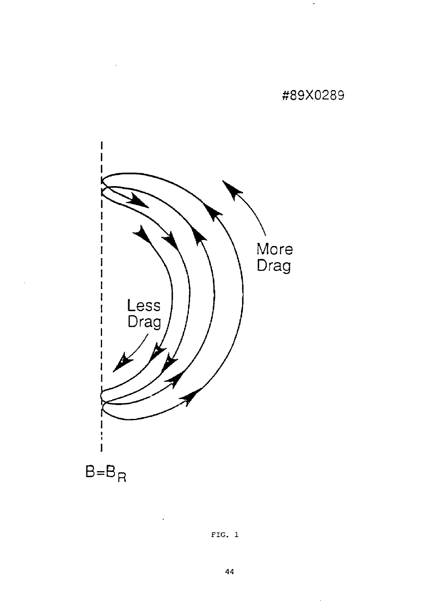# #89X0289

 $\ddot{\phantom{a}}$ 



FIG. 1